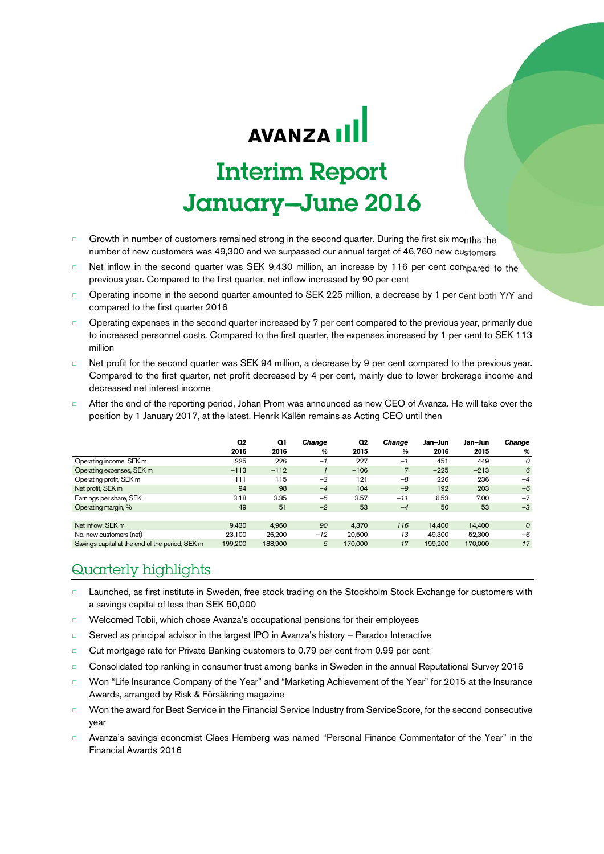# **AVANZA III**

# Interim Report January-June 2016

- □ Growth in number of customers remained strong in the second quarter. During the first six months the number of new customers was 49,300 and we surpassed our annual target of 46,760 new customers
- □ Net inflow in the second quarter was SEK 9,430 million, an increase by 116 per cent compared to the previous year. Compared to the first quarter, net inflow increased by 90 per cent
- □ Operating income in the second quarter amounted to SEK 225 million, a decrease by 1 per cent both Y/Y and compared to the first quarter 2016
- □ Operating expenses in the second quarter increased by 7 per cent compared to the previous year, primarily due to increased personnel costs. Compared to the first quarter, the expenses increased by 1 per cent to SEK 113 million
- □ Net profit for the second quarter was SEK 94 million, a decrease by 9 per cent compared to the previous year. Compared to the first quarter, net profit decreased by 4 per cent, mainly due to lower brokerage income and decreased net interest income
- After the end of the reporting period, Johan Prom was announced as new CEO of Avanza. He will take over the position by 1 January 2017, at the latest. Henrik Källén remains as Acting CEO until then

|                                                 | Q2      | Q1      | Change | Q2      | Change         | Jan-Jun | Jan-Jun | <b>Change</b>  |
|-------------------------------------------------|---------|---------|--------|---------|----------------|---------|---------|----------------|
|                                                 | 2016    | 2016    | %      | 2015    | %              | 2016    | 2015    | %              |
| Operating income, SEK m                         | 225     | 226     | $-1$   | 227     | $-1$           | 451     | 449     | $\Omega$       |
| Operating expenses, SEK m                       | $-113$  | $-112$  |        | $-106$  | $\overline{7}$ | $-225$  | $-213$  | 6              |
| Operating profit, SEK m                         | 111     | 115     | $-3$   | 121     | $-8$           | 226     | 236     | $-4$           |
| Net profit, SEK m                               | 94      | 98      | $-4$   | 104     | $-9$           | 192     | 203     | $-6$           |
| Earnings per share, SEK                         | 3.18    | 3.35    | $-5$   | 3.57    | $-11$          | 6.53    | 7.00    | $-7$           |
| Operating margin, %                             | 49      | 51      | $-2$   | 53      | $-4$           | 50      | 53      | $-3$           |
|                                                 |         |         |        |         |                |         |         |                |
| Net inflow, SEK m                               | 9.430   | 4.960   | 90     | 4.370   | 116            | 14,400  | 14.400  | $\overline{O}$ |
| No. new customers (net)                         | 23.100  | 26.200  | $-12$  | 20,500  | 13             | 49.300  | 52.300  | $-6$           |
| Savings capital at the end of the period, SEK m | 199.200 | 188,900 | 5      | 170,000 | 17             | 199.200 | 170,000 | 17             |

### Quarterly highlights

- □ Launched, as first institute in Sweden, free stock trading on the Stockholm Stock Exchange for customers with a savings capital of less than SEK 50,000
- □ Welcomed Tobii, which chose Avanza's occupational pensions for their employees
- □ Served as principal advisor in the largest IPO in Avanza's history Paradox Interactive
- □ Cut mortgage rate for Private Banking customers to 0.79 per cent from 0.99 per cent
- □ Consolidated top ranking in consumer trust among banks in Sweden in the annual Reputational Survey 2016
- □ Won "Life Insurance Company of the Year" and "Marketing Achievement of the Year" for 2015 at the Insurance Awards, arranged by Risk & Försäkring magazine
- □ Won the award for Best Service in the Financial Service Industry from ServiceScore, for the second consecutive year
- □ Avanza's savings economist Claes Hemberg was named "Personal Finance Commentator of the Year" in the Financial Awards 2016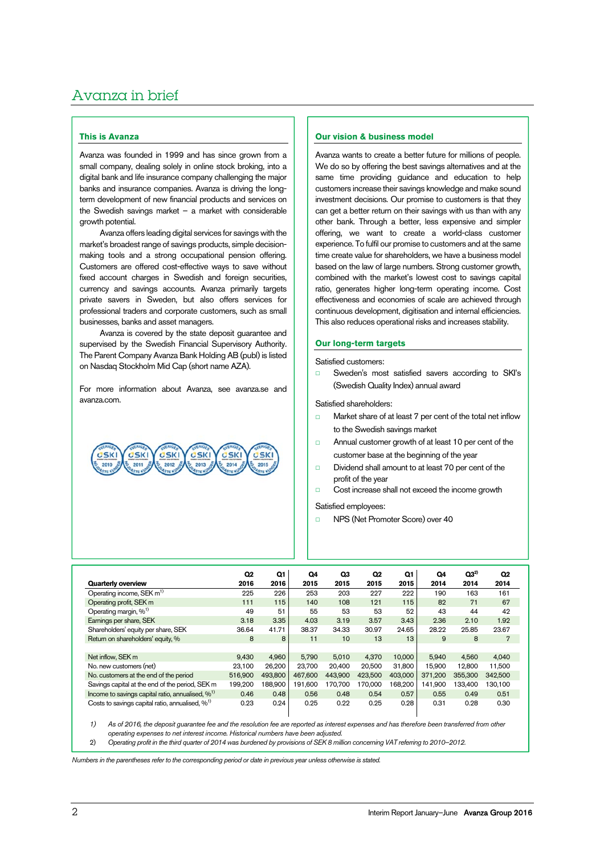## Avanza in brief

### **This is Avanza**

Avanza was founded in 1999 and has since grown from a small company, dealing solely in online stock broking, into a digital bank and life insurance company challenging the major banks and insurance companies. Avanza is driving the longterm development of new financial products and services on the Swedish savings market – a market with considerable growth potential.

Avanza offers leading digital services for savings with the market's broadest range of savings products, simple decisionmaking tools and a strong occupational pension offering. Customers are offered cost-effective ways to save without fixed account charges in Swedish and foreign securities, currency and savings accounts. Avanza primarily targets private savers in Sweden, but also offers services for professional traders and corporate customers, such as small businesses, banks and asset managers.

Avanza is covered by the state deposit guarantee and supervised by the Swedish Financial Supervisory Authority. The Parent Company Avanza Bank Holding AB (publ) is listed on Nasdaq Stockholm Mid Cap (short name AZA).

For more information about Avanza, see avanza.se and avanza.com.



### **Our vision & business model**

Avanza wants to create a better future for millions of people. We do so by offering the best savings alternatives and at the same time providing guidance and education to help customers increase their savings knowledge and make sound investment decisions. Our promise to customers is that they can get a better return on their savings with us than with any other bank. Through a better, less expensive and simpler offering, we want to create a world-class customer experience. To fulfil our promise to customers and at the same time create value for shareholders, we have a business model based on the law of large numbers. Strong customer growth, combined with the market's lowest cost to savings capital ratio, generates higher long-term operating income. Cost effectiveness and economies of scale are achieved through continuous development, digitisation and internal efficiencies. This also reduces operational risks and increases stability.

### **Our long-term targets**

Satisfied customers:

Sweden's most satisfied savers according to SKI's (Swedish Quality Index) annual award

Satisfied shareholders:

- □ Market share of at least 7 per cent of the total net inflow to the Swedish savings market
- □ Annual customer growth of at least 10 per cent of the customer base at the beginning of the year
- □ Dividend shall amount to at least 70 per cent of the profit of the year
- □ Cost increase shall not exceed the income growth

Satisfied employees:

□ NPS (Net Promoter Score) over 40

|                                                             | Q <sub>2</sub> | Q1      | Q4      | Q3      | Q <sub>2</sub> | Q1      | Q4      | Q3 <sup>2</sup> | Q <sub>2</sub> |
|-------------------------------------------------------------|----------------|---------|---------|---------|----------------|---------|---------|-----------------|----------------|
| <b>Quarterly overview</b>                                   | 2016           | 2016    | 2015    | 2015    | 2015           | 2015    | 2014    | 2014            | 2014           |
| Operating income, SEK m <sup>1)</sup>                       | 225            | 226     | 253     | 203     | 227            | 222     | 190     | 163             | 161            |
| Operating profit, SEK m                                     | 111            | 115     | 140     | 108     | 121            | 115     | 82      | 71              | 67             |
| Operating margin, % <sup>1)</sup>                           | 49             | 51      | 55      | 53      | 53             | 52      | 43      | 44              | 42             |
| Earnings per share, SEK                                     | 3.18           | 3.35    | 4.03    | 3.19    | 3.57           | 3.43    | 2.36    | 2.10            | 1.92           |
| Shareholders' equity per share, SEK                         | 36.64          | 41.71   | 38.37   | 34.33   | 30.97          | 24.65   | 28.22   | 25.85           | 23.67          |
| Return on shareholders' equity, %                           | 8              | 8       | 11      | 10      | 13             | 13      | 9       | 8               | $\overline{7}$ |
|                                                             |                |         |         |         |                |         |         |                 |                |
| Net inflow, SEK m                                           | 9.430          | 4.960   | 5.790   | 5.010   | 4.370          | 10,000  | 5.940   | 4.560           | 4.040          |
| No. new customers (net)                                     | 23.100         | 26,200  | 23.700  | 20.400  | 20.500         | 31.800  | 15.900  | 12.800          | 11,500         |
| No. customers at the end of the period                      | 516,900        | 493.800 | 467.600 | 443.900 | 423.500        | 403.000 | 371.200 | 355,300         | 342,500        |
| Savings capital at the end of the period, SEK m             | 199.200        | 188.900 | 191.600 | 170.700 | 170.000        | 168.200 | 141.900 | 133.400         | 130.100        |
| Income to savings capital ratio, annualised, %1)            | 0.46           | 0.48    | 0.56    | 0.48    | 0.54           | 0.57    | 0.55    | 0.49            | 0.51           |
| Costs to savings capital ratio, annualised, % <sup>1)</sup> | 0.23           | 0.24    | 0.25    | 0.22    | 0.25           | 0.28    | 0.31    | 0.28            | 0.30           |

1) As of 2016, the deposit guarantee fee and the resolution fee are reported as interest expenses and has therefore been transferred from other operating expenses to net interest income. Historical numbers have been adjusted.

2) Operating profit in the third quarter of 2014 was burdened by provisions of SEK 8 million concerning VAT referring to 2010–2012.

Numbers in the parentheses refer to the corresponding period or date in previous year unless otherwise is stated.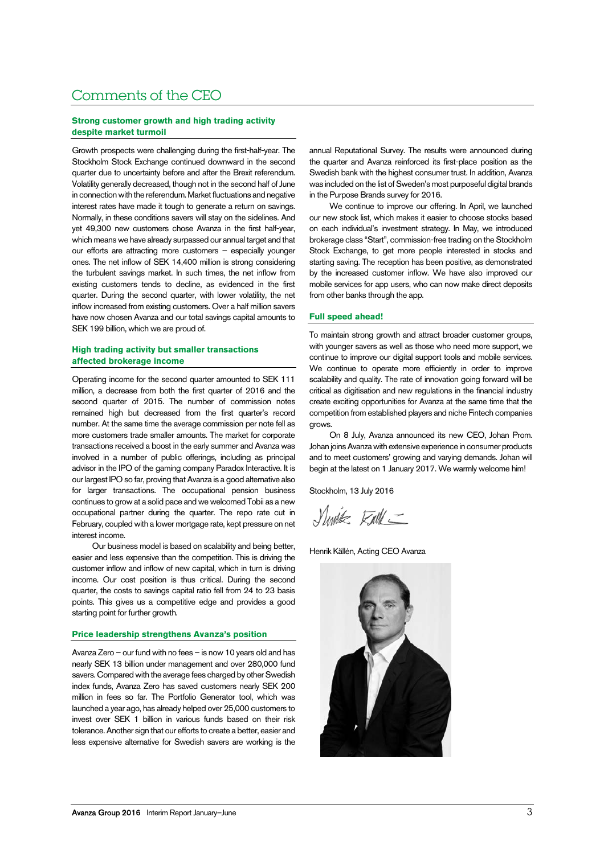### Comments of the CEO

### **Strong customer growth and high trading activity despite market turmoil**

Growth prospects were challenging during the first-half-year. The Stockholm Stock Exchange continued downward in the second quarter due to uncertainty before and after the Brexit referendum. Volatility generally decreased, though not in the second half of June in connection with the referendum. Market fluctuations and negative interest rates have made it tough to generate a return on savings. Normally, in these conditions savers will stay on the sidelines. And yet 49,300 new customers chose Avanza in the first half-year, which means we have already surpassed our annual target and that our efforts are attracting more customers – especially younger ones. The net inflow of SEK 14,400 million is strong considering the turbulent savings market. In such times, the net inflow from existing customers tends to decline, as evidenced in the first quarter. During the second quarter, with lower volatility, the net inflow increased from existing customers. Over a half million savers have now chosen Avanza and our total savings capital amounts to SEK 199 billion, which we are proud of.

### **High trading activity but smaller transactions affected brokerage income**

Operating income for the second quarter amounted to SEK 111 million, a decrease from both the first quarter of 2016 and the second quarter of 2015. The number of commission notes remained high but decreased from the first quarter's record number. At the same time the average commission per note fell as more customers trade smaller amounts. The market for corporate transactions received a boost in the early summer and Avanza was involved in a number of public offerings, including as principal advisor in the IPO of the gaming company Paradox Interactive. It is our largest IPO so far, proving that Avanza is a good alternative also for larger transactions. The occupational pension business continues to grow at a solid pace and we welcomed Tobii as a new occupational partner during the quarter. The repo rate cut in February, coupled with a lower mortgage rate, kept pressure on net interest income.

Our business model is based on scalability and being better, easier and less expensive than the competition. This is driving the customer inflow and inflow of new capital, which in turn is driving income. Our cost position is thus critical. During the second quarter, the costs to savings capital ratio fell from 24 to 23 basis points. This gives us a competitive edge and provides a good starting point for further growth.

### **Price leadership strengthens Avanza's position**

Avanza Zero – our fund with no fees – is now 10 years old and has nearly SEK 13 billion under management and over 280,000 fund savers. Compared with the average fees charged by other Swedish index funds, Avanza Zero has saved customers nearly SEK 200 million in fees so far. The Portfolio Generator tool, which was launched a year ago, has already helped over 25,000 customers to invest over SEK 1 billion in various funds based on their risk tolerance. Another sign that our efforts to create a better, easier and less expensive alternative for Swedish savers are working is the

annual Reputational Survey. The results were announced during the quarter and Avanza reinforced its first-place position as the Swedish bank with the highest consumer trust. In addition, Avanza was included on the list of Sweden's most purposeful digital brands in the Purpose Brands survey for 2016.

We continue to improve our offering. In April, we launched our new stock list, which makes it easier to choose stocks based on each individual's investment strategy. In May, we introduced brokerage class "Start", commission-free trading on the Stockholm Stock Exchange, to get more people interested in stocks and starting saving. The reception has been positive, as demonstrated by the increased customer inflow. We have also improved our mobile services for app users, who can now make direct deposits from other banks through the app.

### **Full speed ahead!**

To maintain strong growth and attract broader customer groups, with younger savers as well as those who need more support, we continue to improve our digital support tools and mobile services. We continue to operate more efficiently in order to improve scalability and quality. The rate of innovation going forward will be critical as digitisation and new regulations in the financial industry create exciting opportunities for Avanza at the same time that the competition from established players and niche Fintech companies grows.

On 8 July, Avanza announced its new CEO, Johan Prom. Johan joins Avanza with extensive experience in consumer products and to meet customers' growing and varying demands. Johan will begin at the latest on 1 January 2017. We warmly welcome him!

Stockholm, 13 July 2016

Slivik Full\_

Henrik Källén, Acting CEO Avanza

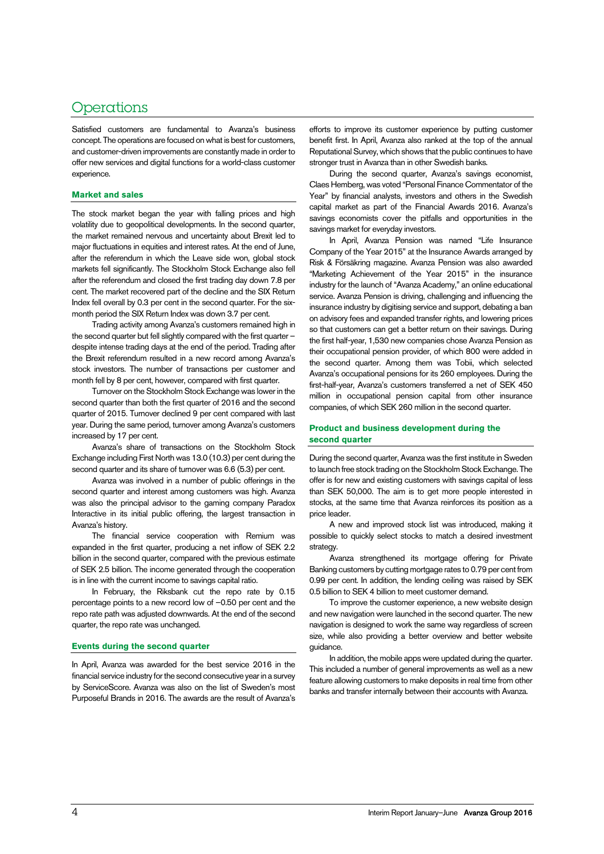### **Operations**

Satisfied customers are fundamental to Avanza's business concept. The operations are focused on what is best for customers, and customer-driven improvements are constantly made in order to offer new services and digital functions for a world-class customer experience.

### **Market and sales**

The stock market began the year with falling prices and high volatility due to geopolitical developments. In the second quarter, the market remained nervous and uncertainty about Brexit led to major fluctuations in equities and interest rates. At the end of June, after the referendum in which the Leave side won, global stock markets fell significantly. The Stockholm Stock Exchange also fell after the referendum and closed the first trading day down 7.8 per cent. The market recovered part of the decline and the SIX Return Index fell overall by 0.3 per cent in the second quarter. For the sixmonth period the SIX Return Index was down 3.7 per cent.

Trading activity among Avanza's customers remained high in the second quarter but fell slightly compared with the first quarter – despite intense trading days at the end of the period. Trading after the Brexit referendum resulted in a new record among Avanza's stock investors. The number of transactions per customer and month fell by 8 per cent, however, compared with first quarter.

Turnover on the Stockholm Stock Exchange was lower in the second quarter than both the first quarter of 2016 and the second quarter of 2015. Turnover declined 9 per cent compared with last year. During the same period, turnover among Avanza's customers increased by 17 per cent.

Avanza's share of transactions on the Stockholm Stock Exchange including First North was 13.0 (10.3) per cent during the second quarter and its share of turnover was 6.6 (5.3) per cent.

Avanza was involved in a number of public offerings in the second quarter and interest among customers was high. Avanza was also the principal advisor to the gaming company Paradox Interactive in its initial public offering, the largest transaction in Avanza's history.

The financial service cooperation with Remium was expanded in the first quarter, producing a net inflow of SEK 2.2 billion in the second quarter, compared with the previous estimate of SEK 2.5 billion. The income generated through the cooperation is in line with the current income to savings capital ratio.

In February, the Riksbank cut the repo rate by 0.15 percentage points to a new record low of –0.50 per cent and the repo rate path was adjusted downwards. At the end of the second quarter, the repo rate was unchanged.

### **Events during the second quarter**

In April, Avanza was awarded for the best service 2016 in the financial service industry for the second consecutive year in a survey by ServiceScore. Avanza was also on the list of Sweden's most Purposeful Brands in 2016. The awards are the result of Avanza's

efforts to improve its customer experience by putting customer benefit first. In April, Avanza also ranked at the top of the annual Reputational Survey, which shows that the public continues to have stronger trust in Avanza than in other Swedish banks.

During the second quarter, Avanza's savings economist, Claes Hemberg, was voted "Personal Finance Commentator of the Year" by financial analysts, investors and others in the Swedish capital market as part of the Financial Awards 2016. Avanza's savings economists cover the pitfalls and opportunities in the savings market for everyday investors.

In April, Avanza Pension was named "Life Insurance Company of the Year 2015" at the Insurance Awards arranged by Risk & Försäkring magazine. Avanza Pension was also awarded "Marketing Achievement of the Year 2015" in the insurance industry for the launch of "Avanza Academy," an online educational service. Avanza Pension is driving, challenging and influencing the insurance industry by digitising service and support, debating a ban on advisory fees and expanded transfer rights, and lowering prices so that customers can get a better return on their savings. During the first half-year, 1,530 new companies chose Avanza Pension as their occupational pension provider, of which 800 were added in the second quarter. Among them was Tobii, which selected Avanza's occupational pensions for its 260 employees. During the first-half-year, Avanza's customers transferred a net of SEK 450 million in occupational pension capital from other insurance companies, of which SEK 260 million in the second quarter.

### **Product and business development during the second quarter**

During the second quarter, Avanza was the first institute in Sweden to launch free stock trading on the Stockholm Stock Exchange. The offer is for new and existing customers with savings capital of less than SEK 50,000. The aim is to get more people interested in stocks, at the same time that Avanza reinforces its position as a price leader.

A new and improved stock list was introduced, making it possible to quickly select stocks to match a desired investment strategy.

Avanza strengthened its mortgage offering for Private Banking customers by cutting mortgage rates to 0.79 per cent from 0.99 per cent. In addition, the lending ceiling was raised by SEK 0.5 billion to SEK 4 billion to meet customer demand.

To improve the customer experience, a new website design and new navigation were launched in the second quarter. The new navigation is designed to work the same way regardless of screen size, while also providing a better overview and better website guidance.

In addition, the mobile apps were updated during the quarter. This included a number of general improvements as well as a new feature allowing customers to make deposits in real time from other banks and transfer internally between their accounts with Avanza.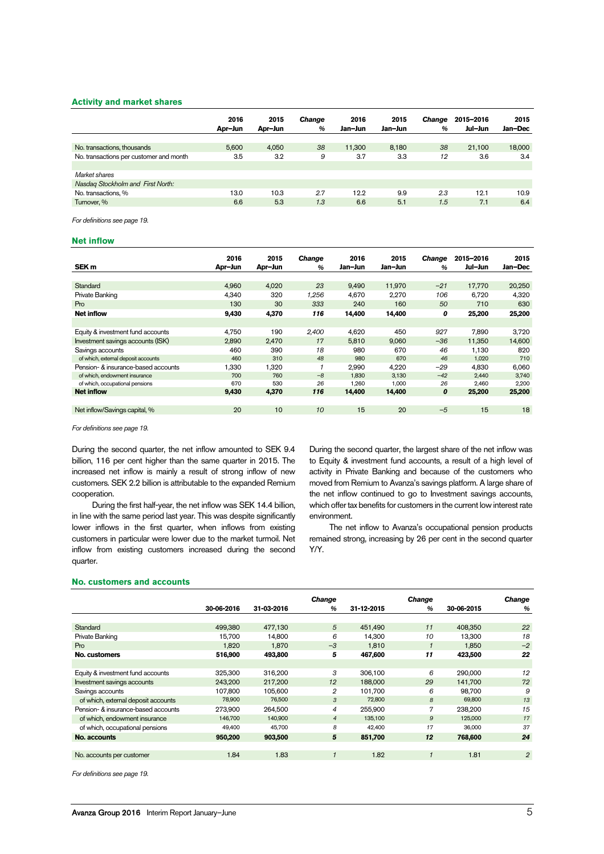### **Activity and market shares**

|                                         | 2016<br>Apr-Jun | 2015<br>Apr-Jun | Change<br>$\%$ | 2016<br>Jan-Jun | 2015<br>Jan-Jun | <b>Change</b><br>$\%$ | 2015-2016<br>Jul-Jun | 2015<br>Jan-Dec |
|-----------------------------------------|-----------------|-----------------|----------------|-----------------|-----------------|-----------------------|----------------------|-----------------|
| No. transactions, thousands             | 5.600           | 4.050           | 38             | 11.300          | 8.180           | 38                    | 21.100               | 18,000          |
| No. transactions per customer and month | 3.5             | 3.2             | 9              | 3.7             | 3.3             | 12                    | 3.6                  | 3.4             |
| Market shares                           |                 |                 |                |                 |                 |                       |                      |                 |
| Nasdag Stockholm and First North:       |                 |                 |                |                 |                 |                       |                      |                 |
| No. transactions, %                     | 13.0            | 10.3            | 2.7            | 12.2            | 9.9             | 23                    | 12.1                 | 10.9            |
| Turnover, %                             | 6.6             | 5.3             | 1.3            | 6.6             | 5.1             | 1.5                   | 7.1                  | 6.4             |

For definitions see page 19.

### **Net inflow**

| SEK <sub>m</sub>                    | 2016<br>Apr-Jun | 2015<br>Apr-Jun | <b>Change</b><br>$\frac{a}{b}$ | 2016<br>Jan-Jun | 2015<br>Jan-Jun | <b>Change</b><br>$\frac{9}{6}$ | 2015-2016<br>Jul-Jun | 2015<br>Jan-Dec |
|-------------------------------------|-----------------|-----------------|--------------------------------|-----------------|-----------------|--------------------------------|----------------------|-----------------|
|                                     |                 |                 |                                |                 |                 |                                |                      |                 |
| <b>Standard</b>                     | 4,960           | 4.020           | 23                             | 9,490           | 11.970          | $-21$                          | 17,770               | 20,250          |
| Private Banking                     | 4.340           | 320             | 1,256                          | 4.670           | 2,270           | 106                            | 6.720                | 4.320           |
| Pro                                 | 130             | 30              | 333                            | 240             | 160             | 50                             | 710                  | 630             |
| <b>Net inflow</b>                   | 9,430           | 4,370           | 116                            | 14.400          | 14,400          | 0                              | 25,200               | 25,200          |
|                                     |                 |                 |                                |                 |                 |                                |                      |                 |
| Equity & investment fund accounts   | 4.750           | 190             | 2,400                          | 4.620           | 450             | 927                            | 7.890                | 3,720           |
| Investment savings accounts (ISK)   | 2.890           | 2.470           | 17                             | 5.810           | 9.060           | $-36$                          | 11.350               | 14.600          |
| Savings accounts                    | 460             | 390             | 18                             | 980             | 670             | 46                             | 1.130                | 820             |
| of which, external deposit accounts | 460             | 310             | 48                             | 980             | 670             | 46                             | 1,020                | 710             |
| Pension- & insurance-based accounts | 1,330           | 1,320           | 1                              | 2,990           | 4,220           | $-29$                          | 4.830                | 6,060           |
| of which, endowment insurance       | 700             | 760             | $-8$                           | 1.830           | 3.130           | $-42$                          | 2.440                | 3,740           |
| of which, occupational pensions     | 670             | 530             | 26                             | 1,260           | 1,000           | 26                             | 2,460                | 2,200           |
| <b>Net inflow</b>                   | 9.430           | 4,370           | 116                            | 14.400          | 14,400          | 0                              | 25,200               | 25,200          |
|                                     |                 |                 |                                |                 |                 |                                |                      |                 |
| Net inflow/Savings capital, %       | 20              | 10              | 10                             | 15              | 20              | $-5$                           | 15                   | 18              |

For definitions see page 19.

During the second quarter, the net inflow amounted to SEK 9.4 billion, 116 per cent higher than the same quarter in 2015. The increased net inflow is mainly a result of strong inflow of new customers. SEK 2.2 billion is attributable to the expanded Remium cooperation.

During the first half-year, the net inflow was SEK 14.4 billion, in line with the same period last year. This was despite significantly lower inflows in the first quarter, when inflows from existing customers in particular were lower due to the market turmoil. Net inflow from existing customers increased during the second quarter.

During the second quarter, the largest share of the net inflow was to Equity & investment fund accounts, a result of a high level of activity in Private Banking and because of the customers who moved from Remium to Avanza's savings platform. A large share of the net inflow continued to go to Investment savings accounts, which offer tax benefits for customers in the current low interest rate environment.

The net inflow to Avanza's occupational pension products remained strong, increasing by 26 per cent in the second quarter Y/Y.

### **No. customers and accounts**

|                                     |            |            | <b>Change</b>  |            | <b>Change</b> |            | <b>Change</b>  |
|-------------------------------------|------------|------------|----------------|------------|---------------|------------|----------------|
|                                     | 30-06-2016 | 31-03-2016 | %              | 31-12-2015 | $\%$          | 30-06-2015 | %              |
|                                     |            |            |                |            |               |            |                |
| Standard                            | 499.380    | 477.130    | 5              | 451.490    | 11            | 408,350    | 22             |
| Private Banking                     | 15,700     | 14,800     | 6              | 14,300     | 10            | 13,300     | 18             |
| Pro                                 | 1,820      | 1.870      | $-3$           | 1,810      | $\mathbf{1}$  | 1,850      | $-2$           |
| No. customers                       | 516,900    | 493,800    | 5              | 467,600    | 11            | 423,500    | 22             |
|                                     |            |            |                |            |               |            |                |
| Equity & investment fund accounts   | 325.300    | 316.200    | 3              | 306.100    | 6             | 290.000    | 12             |
| Investment savings accounts         | 243,200    | 217,200    | 12             | 188,000    | 29            | 141,700    | 72             |
| Savings accounts                    | 107.800    | 105.600    | 2              | 101.700    | 6             | 98.700     | 9              |
| of which, external deposit accounts | 78,900     | 76,500     | 3              | 72,800     | 8             | 69,800     | 13             |
| Pension- & insurance-based accounts | 273,900    | 264,500    | 4              | 255,900    | 7             | 238,200    | 15             |
| of which, endowment insurance       | 146,700    | 140,900    | $\overline{4}$ | 135,100    | 9             | 125,000    | 17             |
| of which, occupational pensions     | 49,400     | 45,700     | 8              | 42,400     | 17            | 36,000     | 37             |
| No. accounts                        | 950,200    | 903,500    | 5              | 851,700    | 12            | 768,600    | 24             |
|                                     |            |            |                |            |               |            |                |
| No. accounts per customer           | 1.84       | 1.83       |                | 1.82       |               | 1.81       | $\overline{2}$ |
|                                     |            |            |                |            |               |            |                |

For definitions see page 19.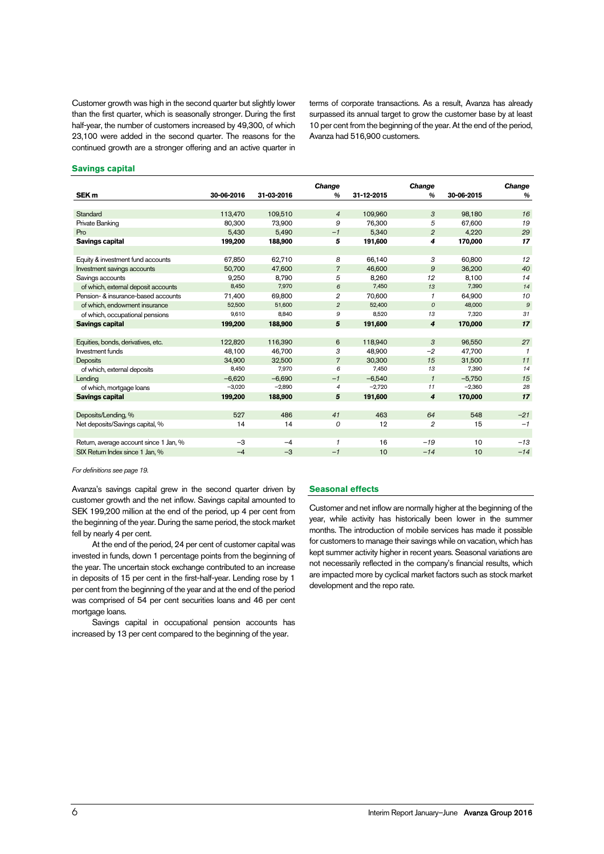Customer growth was high in the second quarter but slightly lower than the first quarter, which is seasonally stronger. During the first half-year, the number of customers increased by 49,300, of which 23,100 were added in the second quarter. The reasons for the continued growth are a stronger offering and an active quarter in terms of corporate transactions. As a result, Avanza has already surpassed its annual target to grow the customer base by at least 10 per cent from the beginning of the year. At the end of the period, Avanza had 516,900 customers.

### **Savings capital**

|                                        |            |            | Change         |            | Change         |            | Change       |
|----------------------------------------|------------|------------|----------------|------------|----------------|------------|--------------|
| SEK <sub>m</sub>                       | 30-06-2016 | 31-03-2016 | $\frac{a}{b}$  | 31-12-2015 | $\frac{9}{6}$  | 30-06-2015 | %            |
|                                        |            |            |                |            |                |            |              |
| Standard                               | 113,470    | 109,510    | $\overline{4}$ | 109,960    | 3              | 98,180     | 16           |
| Private Banking                        | 80.300     | 73,900     | 9              | 76.300     | 5              | 67.600     | 19           |
| Pro                                    | 5,430      | 5.490      | $-1$           | 5,340      | $\overline{2}$ | 4,220      | 29           |
| <b>Savings capital</b>                 | 199,200    | 188,900    | 5              | 191,600    | 4              | 170,000    | 17           |
|                                        |            |            |                |            |                |            |              |
| Equity & investment fund accounts      | 67,850     | 62.710     | 8              | 66,140     | 3              | 60.800     | 12           |
| Investment savings accounts            | 50,700     | 47,600     | $\overline{7}$ | 46,600     | 9              | 36,200     | 40           |
| Savings accounts                       | 9,250      | 8.790      | 5              | 8,260      | 12             | 8,100      | 14           |
| of which, external deposit accounts    | 8,450      | 7,970      | 6              | 7,450      | 13             | 7,390      | 14           |
| Pension- & insurance-based accounts    | 71,400     | 69.800     | $\overline{2}$ | 70,600     | 1              | 64,900     | 10           |
| of which, endowment insurance          | 52,500     | 51,600     | $\overline{2}$ | 52,400     | $\mathcal{O}$  | 48,000     | 9            |
| of which, occupational pensions        | 9,610      | 8.840      | 9              | 8.520      | 13             | 7.320      | 31           |
| <b>Savings capital</b>                 | 199,200    | 188,900    | 5              | 191,600    | 4              | 170,000    | 17           |
|                                        |            |            |                |            |                |            |              |
| Equities, bonds, derivatives, etc.     | 122.820    | 116,390    | 6              | 118,940    | 3              | 96,550     | 27           |
| Investment funds                       | 48,100     | 46,700     | 3              | 48,900     | $-2$           | 47,700     | $\mathbf{1}$ |
| <b>Deposits</b>                        | 34,900     | 32.500     | $\overline{7}$ | 30.300     | 15             | 31,500     | 11           |
| of which, external deposits            | 8,450      | 7,970      | 6              | 7,450      | 13             | 7,390      | 14           |
| Lendina                                | $-6.620$   | $-6.690$   | $-1$           | $-6.540$   | $\mathbf{1}$   | $-5.750$   | 15           |
| of which, mortgage loans               | $-3,020$   | $-2,890$   | $\overline{4}$ | $-2,720$   | 11             | $-2,360$   | 28           |
| <b>Savings capital</b>                 | 199,200    | 188,900    | 5              | 191,600    | 4              | 170,000    | 17           |
|                                        |            |            |                |            |                |            |              |
| Deposits/Lending, %                    | 527        | 486        | 41             | 463        | 64             | 548        | $-21$        |
| Net deposits/Savings capital, %        | 14         | 14         | 0              | 12         | 2              | 15         | $-1$         |
|                                        |            |            |                |            |                |            |              |
| Return, average account since 1 Jan, % | $-3$       | $-4$       | $\mathbf{1}$   | 16         | $-19$          | 10         | $-13$        |
| SIX Return Index since 1 Jan, %        | $-4$       | $-3$       | $-1$           | 10         | $-14$          | 10         | $-14$        |
|                                        |            |            |                |            |                |            |              |

For definitions see page 19.

Avanza's savings capital grew in the second quarter driven by customer growth and the net inflow. Savings capital amounted to SEK 199,200 million at the end of the period, up 4 per cent from the beginning of the year. During the same period, the stock market fell by nearly 4 per cent.

At the end of the period, 24 per cent of customer capital was invested in funds, down 1 percentage points from the beginning of the year. The uncertain stock exchange contributed to an increase in deposits of 15 per cent in the first-half-year. Lending rose by 1 per cent from the beginning of the year and at the end of the period was comprised of 54 per cent securities loans and 46 per cent mortgage loans.

Savings capital in occupational pension accounts has increased by 13 per cent compared to the beginning of the year.

### **Seasonal effects**

Customer and net inflow are normally higher at the beginning of the year, while activity has historically been lower in the summer months. The introduction of mobile services has made it possible for customers to manage their savings while on vacation, which has kept summer activity higher in recent years. Seasonal variations are not necessarily reflected in the company's financial results, which are impacted more by cyclical market factors such as stock market development and the repo rate.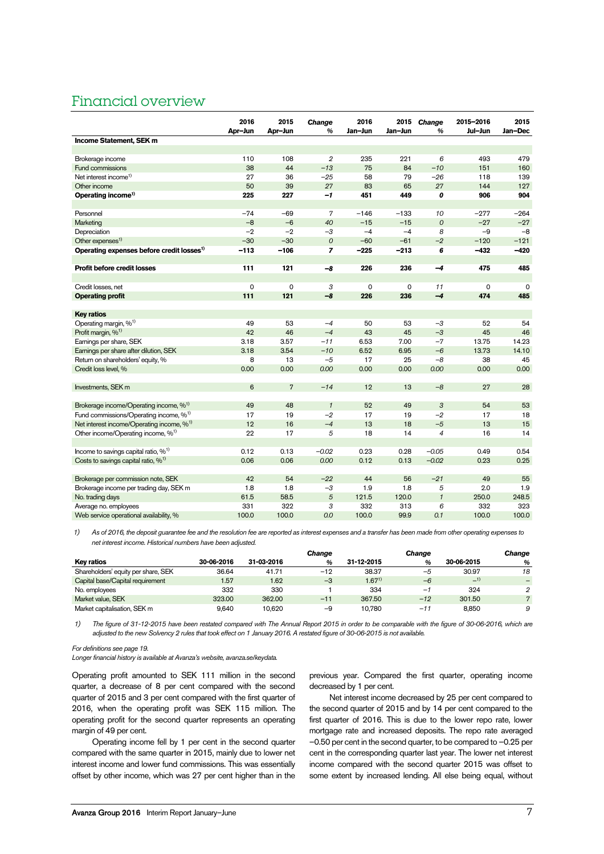### Financial overview

|                                                       | 2016<br>Apr-Jun | 2015<br>Apr-Jun     | Change<br>$\frac{9}{6}$ | 2016<br>Jan-Jun | 2015<br>Jan-Jun | Change<br>%      | 2015-2016<br>Jul-Jun | 2015<br>Jan-Dec |
|-------------------------------------------------------|-----------------|---------------------|-------------------------|-----------------|-----------------|------------------|----------------------|-----------------|
| Income Statement, SEK m                               |                 |                     |                         |                 |                 |                  |                      |                 |
|                                                       |                 |                     |                         |                 |                 |                  |                      |                 |
| Brokerage income                                      | 110             | 108                 | 2                       | 235             | 221             | 6                | 493                  | 479             |
| Fund commissions                                      | 38              | 44                  | $-13$                   | 75              | 84              | $-10$            | 151                  | 160             |
| Net interest income <sup>1)</sup>                     | 27              | 36                  | $-25$                   | 58              | 79              | $-26$            | 118                  | 139             |
| Other income                                          | 50              | 39                  | 27                      | 83              | 65              | 27               | 144                  | 127             |
| Operating income <sup>1)</sup>                        | 225             | 227                 | -1                      | 451             | 449             | 0                | 906                  | 904             |
|                                                       |                 |                     |                         |                 |                 |                  |                      |                 |
| Personnel                                             | $-74$           | $-69$               | $\overline{7}$          | $-146$          | $-133$          | 10               | $-277$               | $-264$          |
| Marketing                                             | $-8$            | $-6$                | 40                      | $-15$           | $-15$           | $\boldsymbol{0}$ | $-27$                | $-27$           |
| Depreciation                                          | $-2$            | $-2$                | $-3$                    | $-4$            | $-4$            | 8                | $-9$                 | $-8$            |
| Other expenses <sup>1)</sup>                          | $-30$           | $-30$               | $\mathcal{O}$           | $-60$           | $-61$           | $-2$             | $-120$               | $-121$          |
| Operating expenses before credit losses <sup>1)</sup> | $-113$          | $-106$              | $\overline{z}$          | $-225$          | $-213$          | 6                | $-432$               | $-420$          |
|                                                       |                 |                     |                         |                 |                 |                  |                      |                 |
| Profit before credit losses                           | 111             | 121                 | -8                      | 226             | 236             | $-4$             | 475                  | 485             |
|                                                       |                 |                     |                         |                 |                 |                  |                      |                 |
| Credit losses, net                                    | 0               | $\mathsf{O}\xspace$ | 3                       | $\mathbf 0$     | $\mathbf 0$     | 11               | 0                    | $\Omega$        |
| <b>Operating profit</b>                               | 111             | 121                 | $-8$                    | 226             | 236             | $-4$             | 474                  | 485             |
|                                                       |                 |                     |                         |                 |                 |                  |                      |                 |
| <b>Key ratios</b>                                     |                 |                     |                         |                 |                 |                  |                      |                 |
| Operating margin, % <sup>1)</sup>                     | 49              | 53                  | $-4$                    | 50              | 53              | $-3$             | 52                   | 54              |
| Profit margin, % <sup>1)</sup>                        | 42              | 46                  | $-4$                    | 43              | 45              | $-3$             | 45                   | 46              |
| Earnings per share, SEK                               | 3.18            | 3.57                | $-11$                   | 6.53            | 7.00            | $-7$             | 13.75                | 14.23           |
| Earnings per share after dilution, SEK                | 3.18            | 3.54                | $-10$                   | 6.52            | 6.95            | $-6$             | 13.73                | 14.10           |
| Return on shareholders' equity, %                     | 8               | 13                  | $-5$                    | 17              | 25              | $-8$             | 38                   | 45              |
| Credit loss level, %                                  | 0.00            | 0.00                | 0.00                    | 0.00            | 0.00            | 0.00             | 0.00                 | 0.00            |
|                                                       |                 |                     |                         |                 |                 |                  |                      |                 |
| Investments, SEK m                                    | 6               | $\overline{7}$      | $-14$                   | 12              | 13              | $-8$             | 27                   | 28              |
|                                                       |                 |                     |                         |                 |                 |                  |                      |                 |
| Brokerage income/Operating income, % <sup>1)</sup>    | 49              | 48                  | $\mathbf{1}$            | 52              | 49              | 3                | 54                   | 53              |
| Fund commissions/Operating income, % <sup>1)</sup>    | 17              | 19                  | $-2$                    | 17              | 19              | $-2$             | 17                   | 18              |
| Net interest income/Operating income, % <sup>1)</sup> | 12              | 16                  | $-4$                    | 13              | 18              | $-5$             | 13                   | 15              |
| Other income/Operating income, % <sup>1)</sup>        | 22              | 17                  | 5                       | 18              | 14              | $\overline{4}$   | 16                   | 14              |
|                                                       |                 |                     |                         |                 |                 |                  |                      |                 |
| Income to savings capital ratio, $\%$ <sup>1)</sup>   | 0.12            | 0.13                | $-0.02$                 | 0.23            | 0.28            | $-0.05$          | 0.49                 | 0.54            |
| Costs to savings capital ratio, $\%$ <sup>1)</sup>    | 0.06            | 0.06                | 0.00                    | 0.12            | 0.13            | $-0.02$          | 0.23                 | 0.25            |
|                                                       |                 |                     |                         |                 |                 |                  |                      |                 |
| Brokerage per commission note, SEK                    | 42              | 54                  | $-22$                   | 44              | 56              | $-21$            | 49                   | 55              |
| Brokerage income per trading day, SEK m               | 1.8             | 1.8                 | $-3$                    | 1.9             | 1.8             | 5                | 2.0                  | 1.9             |
| No. trading days                                      | 61.5            | 58.5                | $\sqrt{5}$              | 121.5           | 120.0           | $\mathbf{1}$     | 250.0                | 248.5           |
| Average no. employees                                 | 331             | 322                 | 3                       | 332             | 313             | 6                | 332                  | 323             |
| Web service operational availability, %               | 100.0           | 100.0               | 0.0                     | 100.0           | 99.9            | 0.1              | 100.0                | 100.0           |

1) As of 2016, the deposit guarantee fee and the resolution fee are reported as interest expenses and a transfer has been made from other operating expenses to net interest income. Historical numbers have been adjusted.

|                                     |            |            | Change |            | Change |            | Change |
|-------------------------------------|------------|------------|--------|------------|--------|------------|--------|
| Key ratios                          | 30-06-2016 | 31-03-2016 | %      | 31-12-2015 | %      | 30-06-2015 | %      |
| Shareholders' equity per share, SEK | 36.64      | 41.71      | $-12$  | 38.37      | -5     | 30.97      | 18     |
| Capital base/Capital requirement    | 1.57       | 1.62       | $-3$   | $1.67^{1}$ | $-6$   | $-1)$      |        |
| No. employees                       | 332        | 330        |        | 334        | -      | 324        | 2      |
| Market value, SEK                   | 323.00     | 362.00     | $-11$  | 367.50     | $-12$  | 301.50     |        |
| Market capitalisation, SEK m        | 9.640      | 10.620     | $-9$   | 10.780     | $-11$  | 8.850      | 9      |

1) The figure of 31-12-2015 have been restated compared with The Annual Report 2015 in order to be comparable with the figure of 30-06-2016, which are adjusted to the new Solvency 2 rules that took effect on 1 January 2016. A restated figure of 30-06-2015 is not available.

For definitions see page 19.

Longer financial history is available at Avanza's website, avanza.se/keydata.

Operating profit amounted to SEK 111 million in the second quarter, a decrease of 8 per cent compared with the second quarter of 2015 and 3 per cent compared with the first quarter of 2016, when the operating profit was SEK 115 million. The operating profit for the second quarter represents an operating margin of 49 per cent.

Operating income fell by 1 per cent in the second quarter compared with the same quarter in 2015, mainly due to lower net interest income and lower fund commissions. This was essentially offset by other income, which was 27 per cent higher than in the previous year. Compared the first quarter, operating income decreased by 1 per cent.

Net interest income decreased by 25 per cent compared to the second quarter of 2015 and by 14 per cent compared to the first quarter of 2016. This is due to the lower repo rate, lower mortgage rate and increased deposits. The repo rate averaged –0.50 per cent in the second quarter, to be compared to –0.25 per cent in the corresponding quarter last year. The lower net interest income compared with the second quarter 2015 was offset to some extent by increased lending. All else being equal, without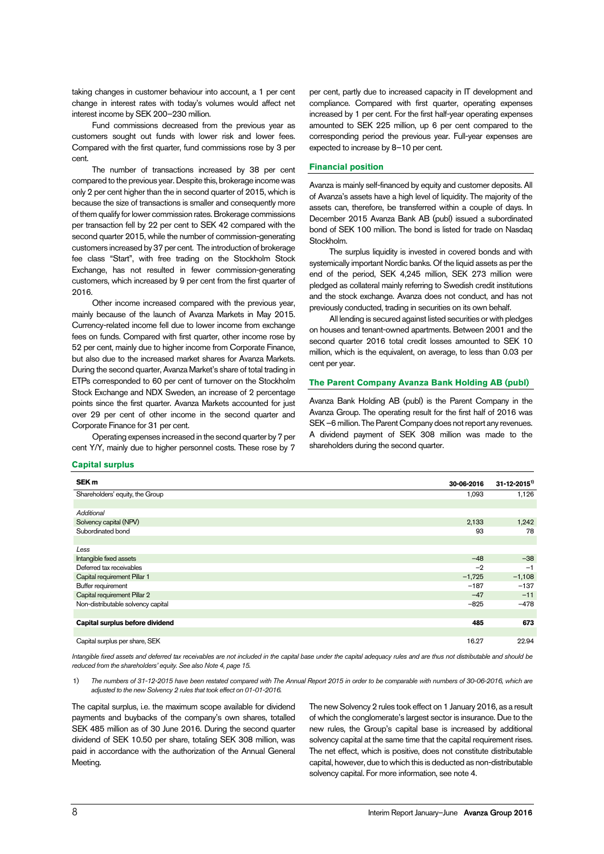taking changes in customer behaviour into account, a 1 per cent change in interest rates with today's volumes would affect net interest income by SEK 200–230 million.

Fund commissions decreased from the previous year as customers sought out funds with lower risk and lower fees. Compared with the first quarter, fund commissions rose by 3 per cent.

The number of transactions increased by 38 per cent compared to the previous year. Despite this, brokerage income was only 2 per cent higher than the in second quarter of 2015, which is because the size of transactions is smaller and consequently more of them qualify for lower commission rates. Brokerage commissions per transaction fell by 22 per cent to SEK 42 compared with the second quarter 2015, while the number of commission-generating customers increased by 37 per cent. The introduction of brokerage fee class "Start", with free trading on the Stockholm Stock Exchange, has not resulted in fewer commission-generating customers, which increased by 9 per cent from the first quarter of 2016.

Other income increased compared with the previous year, mainly because of the launch of Avanza Markets in May 2015. Currency-related income fell due to lower income from exchange fees on funds. Compared with first quarter, other income rose by 52 per cent, mainly due to higher income from Corporate Finance, but also due to the increased market shares for Avanza Markets. During the second quarter, Avanza Market's share of total trading in ETPs corresponded to 60 per cent of turnover on the Stockholm Stock Exchange and NDX Sweden, an increase of 2 percentage points since the first quarter. Avanza Markets accounted for just over 29 per cent of other income in the second quarter and Corporate Finance for 31 per cent.

Operating expenses increased in the second quarter by 7 per cent Y/Y, mainly due to higher personnel costs. These rose by 7

per cent, partly due to increased capacity in IT development and compliance. Compared with first quarter, operating expenses increased by 1 per cent. For the first half-year operating expenses amounted to SEK 225 million, up 6 per cent compared to the corresponding period the previous year. Full-year expenses are expected to increase by 8–10 per cent.

### **Financial position**

Avanza is mainly self-financed by equity and customer deposits. All of Avanza's assets have a high level of liquidity. The majority of the assets can, therefore, be transferred within a couple of days. In December 2015 Avanza Bank AB (publ) issued a subordinated bond of SEK 100 million. The bond is listed for trade on Nasdaq Stockholm.

The surplus liquidity is invested in covered bonds and with systemically important Nordic banks. Of the liquid assets as per the end of the period, SEK 4,245 million, SEK 273 million were pledged as collateral mainly referring to Swedish credit institutions and the stock exchange. Avanza does not conduct, and has not previously conducted, trading in securities on its own behalf.

All lending is secured against listed securities or with pledges on houses and tenant-owned apartments. Between 2001 and the second quarter 2016 total credit losses amounted to SEK 10 million, which is the equivalent, on average, to less than 0.03 per cent per year.

### **The Parent Company Avanza Bank Holding AB (publ)**

Avanza Bank Holding AB (publ) is the Parent Company in the Avanza Group. The operating result for the first half of 2016 was SEK –6 million. The Parent Company does not report any revenues. A dividend payment of SEK 308 million was made to the shareholders during the second quarter.

### **Capital surplus**

| SEK <sub>m</sub>                   | 30-06-2016 | $31 - 12 - 2015$ <sup>1)</sup> |
|------------------------------------|------------|--------------------------------|
| Shareholders' equity, the Group    | 1,093      | 1,126                          |
|                                    |            |                                |
| Additional                         |            |                                |
| Solvency capital (NPV)             | 2,133      | 1,242                          |
| Subordinated bond                  | 93         | 78                             |
|                                    |            |                                |
| Less                               |            |                                |
| Intangible fixed assets            | $-48$      | $-38$                          |
| Deferred tax receivables           | $-2$       | $-1$                           |
| Capital requirement Pillar 1       | $-1,725$   | $-1,108$                       |
| Buffer requirement                 | $-187$     | $-137$                         |
| Capital requirement Pillar 2       | $-47$      | $-11$                          |
| Non-distributable solvency capital | $-825$     | $-478$                         |
|                                    |            |                                |
| Capital surplus before dividend    | 485        | 673                            |
|                                    |            |                                |
| Capital surplus per share, SEK     | 16.27      | 22.94                          |

Intangible fixed assets and deferred tax receivables are not included in the capital base under the capital adequacy rules and are thus not distributable and should be reduced from the shareholders' equity. See also Note 4, page 15.

### 1) The numbers of 31-12-2015 have been restated compared with The Annual Report 2015 in order to be comparable with numbers of 30-06-2016, which are adjusted to the new Solvency 2 rules that took effect on 01-01-2016.

The capital surplus, i.e. the maximum scope available for dividend payments and buybacks of the company's own shares, totalled SEK 485 million as of 30 June 2016. During the second quarter dividend of SEK 10.50 per share, totaling SEK 308 million, was paid in accordance with the authorization of the Annual General Meeting.

The new Solvency 2 rules took effect on 1 January 2016, as a result of which the conglomerate's largest sector is insurance. Due to the new rules, the Group's capital base is increased by additional solvency capital at the same time that the capital requirement rises. The net effect, which is positive, does not constitute distributable capital, however, due to which this is deducted as non-distributable solvency capital. For more information, see note 4.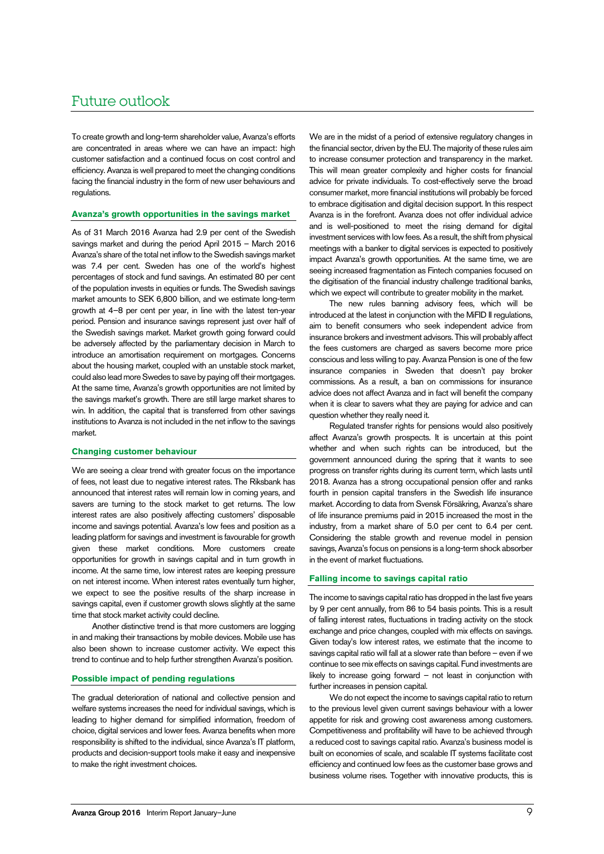# Future outlook

To create growth and long-term shareholder value, Avanza's efforts are concentrated in areas where we can have an impact: high customer satisfaction and a continued focus on cost control and efficiency. Avanza is well prepared to meet the changing conditions facing the financial industry in the form of new user behaviours and regulations.

### **Avanza's growth opportunities in the savings market**

As of 31 March 2016 Avanza had 2.9 per cent of the Swedish savings market and during the period April 2015 – March 2016 Avanza's share of the total net inflow to the Swedish savings market was 7.4 per cent. Sweden has one of the world's highest percentages of stock and fund savings. An estimated 80 per cent of the population invests in equities or funds. The Swedish savings market amounts to SEK 6,800 billion, and we estimate long-term growth at 4–8 per cent per year, in line with the latest ten-year period. Pension and insurance savings represent just over half of the Swedish savings market. Market growth going forward could be adversely affected by the parliamentary decision in March to introduce an amortisation requirement on mortgages. Concerns about the housing market, coupled with an unstable stock market, could also lead more Swedes to save by paying off their mortgages. At the same time, Avanza's growth opportunities are not limited by the savings market's growth. There are still large market shares to win. In addition, the capital that is transferred from other savings institutions to Avanza is not included in the net inflow to the savings market.

### **Changing customer behaviour**

We are seeing a clear trend with greater focus on the importance of fees, not least due to negative interest rates. The Riksbank has announced that interest rates will remain low in coming years, and savers are turning to the stock market to get returns. The low interest rates are also positively affecting customers' disposable income and savings potential. Avanza's low fees and position as a leading platform for savings and investment is favourable for growth given these market conditions. More customers create opportunities for growth in savings capital and in turn growth in income. At the same time, low interest rates are keeping pressure on net interest income. When interest rates eventually turn higher, we expect to see the positive results of the sharp increase in savings capital, even if customer growth slows slightly at the same time that stock market activity could decline.

Another distinctive trend is that more customers are logging in and making their transactions by mobile devices. Mobile use has also been shown to increase customer activity. We expect this trend to continue and to help further strengthen Avanza's position.

### **Possible impact of pending regulations**

The gradual deterioration of national and collective pension and welfare systems increases the need for individual savings, which is leading to higher demand for simplified information, freedom of choice, digital services and lower fees. Avanza benefits when more responsibility is shifted to the individual, since Avanza's IT platform, products and decision-support tools make it easy and inexpensive to make the right investment choices.

We are in the midst of a period of extensive regulatory changes in the financial sector, driven by the EU. The majority of these rules aim to increase consumer protection and transparency in the market. This will mean greater complexity and higher costs for financial advice for private individuals. To cost-effectively serve the broad consumer market, more financial institutions will probably be forced to embrace digitisation and digital decision support. In this respect Avanza is in the forefront. Avanza does not offer individual advice and is well-positioned to meet the rising demand for digital investment services with low fees. As a result, the shift from physical meetings with a banker to digital services is expected to positively impact Avanza's growth opportunities. At the same time, we are seeing increased fragmentation as Fintech companies focused on the digitisation of the financial industry challenge traditional banks, which we expect will contribute to greater mobility in the market.

The new rules banning advisory fees, which will be introduced at the latest in conjunction with the MiFID II regulations, aim to benefit consumers who seek independent advice from insurance brokers and investment advisors. This will probably affect the fees customers are charged as savers become more price conscious and less willing to pay. Avanza Pension is one of the few insurance companies in Sweden that doesn't pay broker commissions. As a result, a ban on commissions for insurance advice does not affect Avanza and in fact will benefit the company when it is clear to savers what they are paying for advice and can question whether they really need it.

Regulated transfer rights for pensions would also positively affect Avanza's growth prospects. It is uncertain at this point whether and when such rights can be introduced, but the government announced during the spring that it wants to see progress on transfer rights during its current term, which lasts until 2018. Avanza has a strong occupational pension offer and ranks fourth in pension capital transfers in the Swedish life insurance market. According to data from Svensk Försäkring, Avanza's share of life insurance premiums paid in 2015 increased the most in the industry, from a market share of 5.0 per cent to 6.4 per cent. Considering the stable growth and revenue model in pension savings, Avanza's focus on pensions is a long-term shock absorber in the event of market fluctuations.

### **Falling income to savings capital ratio**

The income to savings capital ratio has dropped in the last five years by 9 per cent annually, from 86 to 54 basis points. This is a result of falling interest rates, fluctuations in trading activity on the stock exchange and price changes, coupled with mix effects on savings. Given today's low interest rates, we estimate that the income to savings capital ratio will fall at a slower rate than before – even if we continue to see mix effects on savings capital. Fund investments are likely to increase going forward – not least in conjunction with further increases in pension capital.

We do not expect the income to savings capital ratio to return to the previous level given current savings behaviour with a lower appetite for risk and growing cost awareness among customers. Competitiveness and profitability will have to be achieved through a reduced cost to savings capital ratio. Avanza's business model is built on economies of scale, and scalable IT systems facilitate cost efficiency and continued low fees as the customer base grows and business volume rises. Together with innovative products, this is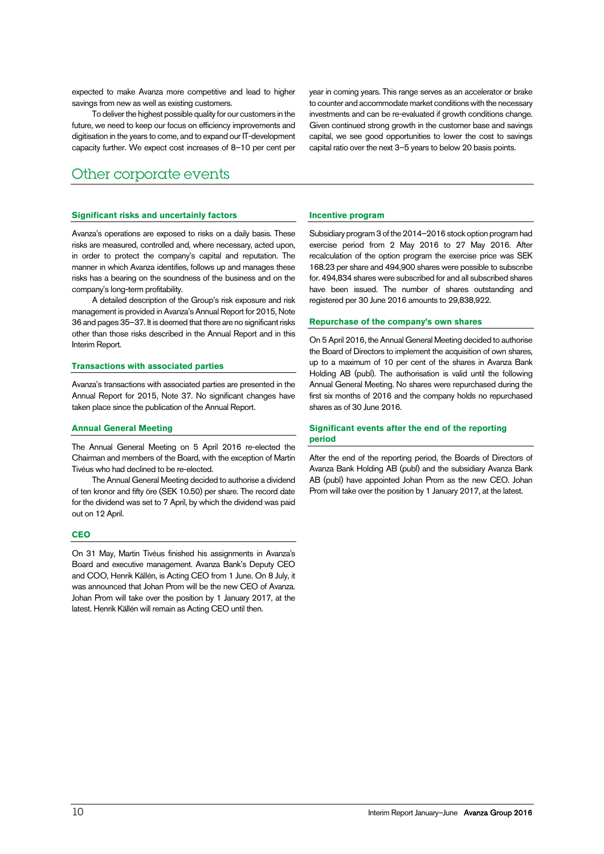expected to make Avanza more competitive and lead to higher savings from new as well as existing customers.

To deliver the highest possible quality for our customers in the future, we need to keep our focus on efficiency improvements and digitisation in the years to come, and to expand our IT-development capacity further. We expect cost increases of 8–10 per cent per

### Other corporate events

### **Significant risks and uncertainly factors**

Avanza's operations are exposed to risks on a daily basis. These risks are measured, controlled and, where necessary, acted upon, in order to protect the company's capital and reputation. The manner in which Avanza identifies, follows up and manages these risks has a bearing on the soundness of the business and on the company's long-term profitability.

A detailed description of the Group's risk exposure and risk management is provided in Avanza's Annual Report for 2015, Note 36 and pages 35–37. It is deemed that there are no significant risks other than those risks described in the Annual Report and in this Interim Report.

### **Transactions with associated parties**

Avanza's transactions with associated parties are presented in the Annual Report for 2015, Note 37. No significant changes have taken place since the publication of the Annual Report.

### **Annual General Meeting**

The Annual General Meeting on 5 April 2016 re-elected the Chairman and members of the Board, with the exception of Martin Tivéus who had declined to be re-elected.

The Annual General Meeting decided to authorise a dividend of ten kronor and fifty öre (SEK 10.50) per share. The record date for the dividend was set to 7 April, by which the dividend was paid out on 12 April.

### **CEO**

On 31 May, Martin Tivéus finished his assignments in Avanza's Board and executive management. Avanza Bank's Deputy CEO and COO, Henrik Källén, is Acting CEO from 1 June. On 8 July, it was announced that Johan Prom will be the new CEO of Avanza. Johan Prom will take over the position by 1 January 2017, at the latest. Henrik Källén will remain as Acting CEO until then.

year in coming years. This range serves as an accelerator or brake to counter and accommodate market conditions with the necessary investments and can be re-evaluated if growth conditions change. Given continued strong growth in the customer base and savings capital, we see good opportunities to lower the cost to savings capital ratio over the next 3–5 years to below 20 basis points.

### **Incentive program**

Subsidiary program 3 of the 2014–2016 stock option program had exercise period from 2 May 2016 to 27 May 2016. After recalculation of the option program the exercise price was SEK 168.23 per share and 494,900 shares were possible to subscribe for. 494,834 shares were subscribed for and all subscribed shares have been issued. The number of shares outstanding and registered per 30 June 2016 amounts to 29,838,922.

### **Repurchase of the company's own shares**

On 5 April 2016, the Annual General Meeting decided to authorise the Board of Directors to implement the acquisition of own shares, up to a maximum of 10 per cent of the shares in Avanza Bank Holding AB (publ). The authorisation is valid until the following Annual General Meeting. No shares were repurchased during the first six months of 2016 and the company holds no repurchased shares as of 30 June 2016.

### **Significant events after the end of the reporting period**

After the end of the reporting period, the Boards of Directors of Avanza Bank Holding AB (publ) and the subsidiary Avanza Bank AB (publ) have appointed Johan Prom as the new CEO. Johan Prom will take over the position by 1 January 2017, at the latest.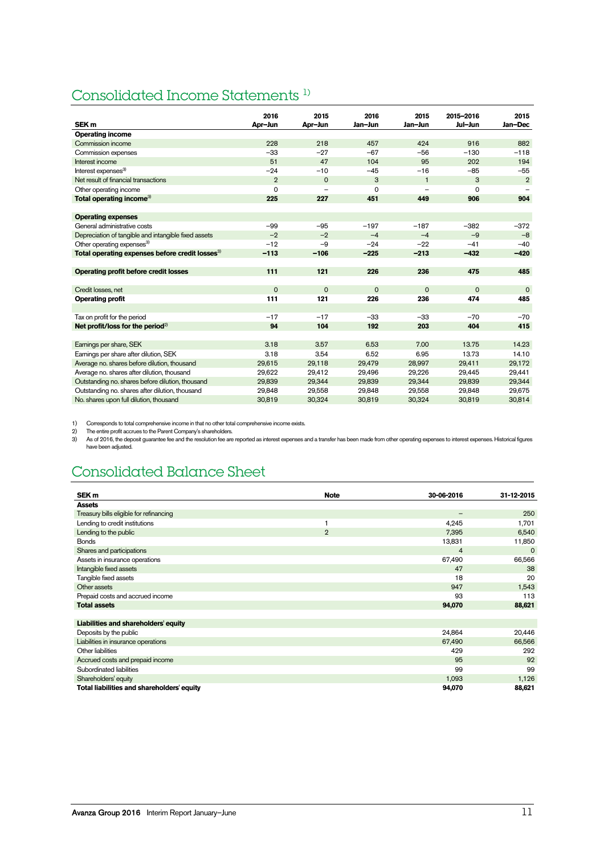# Consolidated Income Statements 1)

|                                                             | 2016           | 2015                     | 2016        | 2015         | 2015-2016   | 2015           |
|-------------------------------------------------------------|----------------|--------------------------|-------------|--------------|-------------|----------------|
| SEK <sub>m</sub>                                            | Apr-Jun        | Apr-Jun                  | Jan-Jun     | Jan-Jun      | Jul-Jun     | Jan-Dec        |
| <b>Operating income</b>                                     |                |                          |             |              |             |                |
| Commission income                                           | 228            | 218                      | 457         | 424          | 916         | 882            |
| Commission expenses                                         | $-33$          | $-27$                    | $-67$       | $-56$        | $-130$      | $-118$         |
| Interest income                                             | 51             | 47                       | 104         | 95           | 202         | 194            |
| Interest expenses <sup>3)</sup>                             | $-24$          | $-10$                    | $-45$       | $-16$        | $-85$       | $-55$          |
| Net result of financial transactions                        | $\overline{2}$ | $\mathbf 0$              | 3           | $\mathbf{1}$ | 3           | $\overline{2}$ |
| Other operating income                                      | 0              | $\overline{\phantom{0}}$ | 0           |              | $\Omega$    |                |
| Total operating income <sup>3)</sup>                        | 225            | 227                      | 451         | 449          | 906         | 904            |
|                                                             |                |                          |             |              |             |                |
| <b>Operating expenses</b>                                   |                |                          |             |              |             |                |
| General administrative costs                                | $-99$          | $-95$                    | $-197$      | $-187$       | $-382$      | $-372$         |
| Depreciation of tangible and intangible fixed assets        | $-2$           | $-2$                     | $-4$        | $-4$         | $-9$        | $-8$           |
| Other operating expenses <sup>3)</sup>                      | $-12$          | $-9$                     | $-24$       | $-22$        | $-41$       | $-40$          |
| Total operating expenses before credit losses <sup>3)</sup> | $-113$         | $-106$                   | $-225$      | $-213$       | $-432$      | $-420$         |
|                                                             |                |                          |             |              |             |                |
| <b>Operating profit before credit losses</b>                | 111            | 121                      | 226         | 236          | 475         | 485            |
|                                                             |                |                          |             |              |             |                |
| Credit losses, net                                          | $\mathbf 0$    | $\mathbf 0$              | $\mathbf 0$ | $\mathbf 0$  | $\mathbf 0$ | $\mathbf 0$    |
| <b>Operating profit</b>                                     | 111            | 121                      | 226         | 236          | 474         | 485            |
|                                                             |                |                          |             |              |             |                |
| Tax on profit for the period                                | $-17$          | $-17$                    | $-33$       | $-33$        | $-70$       | $-70$          |
| Net profit/loss for the period $^{2)}$                      | 94             | 104                      | 192         | 203          | 404         | 415            |
|                                                             |                |                          |             |              |             |                |
| Earnings per share, SEK                                     | 3.18           | 3.57                     | 6.53        | 7.00         | 13.75       | 14.23          |
| Earnings per share after dilution, SEK                      | 3.18           | 3.54                     | 6.52        | 6.95         | 13.73       | 14.10          |
| Average no. shares before dilution, thousand                | 29,615         | 29,118                   | 29,479      | 28,997       | 29,411      | 29,172         |
| Average no. shares after dilution, thousand                 | 29.622         | 29.412                   | 29.496      | 29.226       | 29,445      | 29,441         |
| Outstanding no. shares before dilution, thousand            | 29,839         | 29,344                   | 29.839      | 29,344       | 29,839      | 29,344         |
| Outstanding no. shares after dilution, thousand             | 29,848         | 29.558                   | 29.848      | 29,558       | 29,848      | 29,675         |
| No. shares upon full dilution, thousand                     | 30,819         | 30,324                   | 30,819      | 30,324       | 30,819      | 30,814         |

1) Corresponds to total comprehensive income in that no other total comprehensive income exists.<br>2) The entire profit accrues to the Parent Company's shareholders.<br>3) As of 2016, the deposit guarantee fee and the resolutio have been adjusted.

# Consolidated Balance Sheet

| SEK <sub>m</sub>                           | <b>Note</b>    | 30-06-2016               | 31-12-2015 |
|--------------------------------------------|----------------|--------------------------|------------|
| <b>Assets</b>                              |                |                          |            |
| Treasury bills eligible for refinancing    |                | $\overline{\phantom{m}}$ | 250        |
| Lending to credit institutions             | 1              | 4,245                    | 1,701      |
| Lending to the public                      | $\overline{2}$ | 7,395                    | 6,540      |
| <b>Bonds</b>                               |                | 13,831                   | 11,850     |
| Shares and participations                  |                | $\overline{4}$           | $\Omega$   |
| Assets in insurance operations             |                | 67,490                   | 66,566     |
| Intangible fixed assets                    |                | 47                       | 38         |
| Tangible fixed assets                      |                | 18                       | 20         |
| Other assets                               |                | 947                      | 1,543      |
| Prepaid costs and accrued income           |                | 93                       | 113        |
| <b>Total assets</b>                        |                | 94,070                   | 88,621     |
|                                            |                |                          |            |
| Liabilities and shareholders' equity       |                |                          |            |
| Deposits by the public                     |                | 24,864                   | 20,446     |
| Liabilities in insurance operations        |                | 67,490                   | 66,566     |
| Other liabilities                          |                | 429                      | 292        |
| Accrued costs and prepaid income           |                | 95                       | 92         |
| Subordinated liabilities                   |                | 99                       | 99         |
| Shareholders' equity                       |                | 1,093                    | 1,126      |
| Total liabilities and shareholders' equity |                | 94,070                   | 88,621     |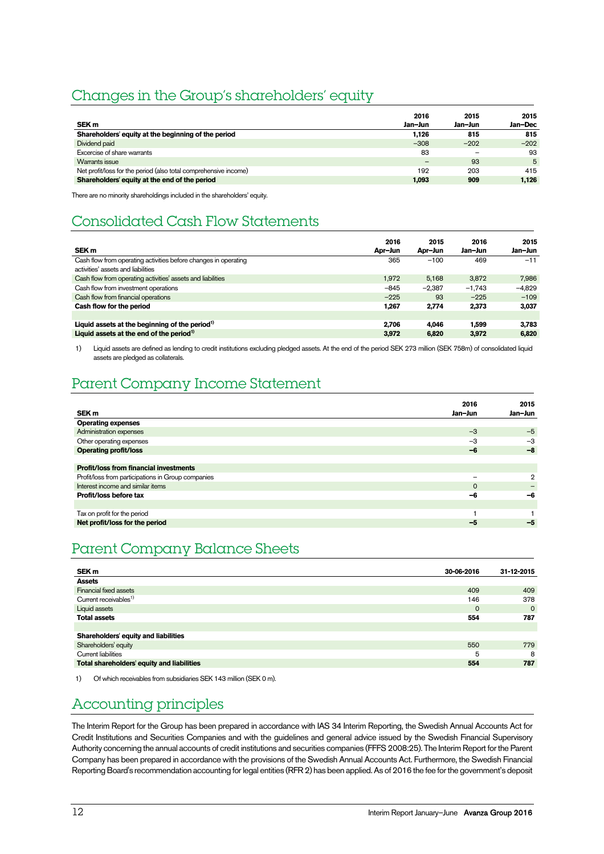# Changes in the Group's shareholders' equity

|                                                                  | 2016    | 2015    | 2015    |
|------------------------------------------------------------------|---------|---------|---------|
| SEK <sub>m</sub>                                                 | Jan-Jun | Jan-Jun | Jan-Dec |
| Shareholders' equity at the beginning of the period              | 1.126   | 815     | 815     |
| Dividend paid                                                    | $-308$  | $-202$  | $-202$  |
| Excercise of share warrants                                      | 83      |         | 93      |
| Warrants issue                                                   |         | 93      | 5       |
| Net profit/loss for the period (also total comprehensive income) | 192     | 203     | 415     |
| Shareholders' equity at the end of the period                    | 1.093   | 909     | 1.126   |

There are no minority shareholdings included in the shareholders' equity.

# Consolidated Cash Flow Statements

| SEK <sub>m</sub>                                                | 2016<br>Apr-Jun | 2015<br>Apr-Jun | 2016<br>Jan-Jun | 2015<br>Jan-Jun |
|-----------------------------------------------------------------|-----------------|-----------------|-----------------|-----------------|
| Cash flow from operating activities before changes in operating | 365             | $-100$          | 469             | $-11$           |
| activities' assets and liabilities                              |                 |                 |                 |                 |
| Cash flow from operating activities' assets and liabilities     | 1.972           | 5.168           | 3.872           | 7.986           |
| Cash flow from investment operations                            | $-845$          | $-2.387$        | $-1.743$        | $-4.829$        |
| Cash flow from financial operations                             | $-225$          | 93              | $-225$          | $-109$          |
| Cash flow for the period                                        | 1.267           | 2.774           | 2.373           | 3,037           |
|                                                                 |                 |                 |                 |                 |
| Liquid assets at the beginning of the period <sup>1)</sup>      | 2.706           | 4.046           | 1.599           | 3.783           |
| Liquid assets at the end of the period <sup>1)</sup>            | 3.972           | 6.820           | 3.972           | 6.820           |

1) Liquid assets are defined as lending to credit institutions excluding pledged assets. At the end of the period SEK 273 million (SEK 758m) of consolidated liquid assets are pledged as collaterals.

# Parent Company Income Statement

| SEK <sub>m</sub>                                   | 2016<br>Jan-Jun | 2015<br>Jan-Jun |
|----------------------------------------------------|-----------------|-----------------|
| <b>Operating expenses</b>                          |                 |                 |
| Administration expenses                            | $-3$            | $-5$            |
| Other operating expenses                           | $-3$            | $-3$            |
| <b>Operating profit/loss</b>                       | -6              | $-8$            |
|                                                    |                 |                 |
| <b>Profit/loss from financial investments</b>      |                 |                 |
| Profit/loss from participations in Group companies |                 | $\overline{2}$  |
| Interest income and similar items                  | $\Omega$        |                 |
| Profit/loss before tax                             | -6              | -6              |
|                                                    |                 |                 |
| Tax on profit for the period                       |                 |                 |
| Net profit/loss for the period                     | $-5$            | -5              |
|                                                    |                 |                 |

# Parent Company Balance Sheets

| 31-12-2015  |
|-------------|
|             |
| 409         |
| 378         |
| $\mathbf 0$ |
| 787         |
|             |
|             |
| 779         |
| 8           |
| 787         |
|             |

1) Of which receivables from subsidiaries SEK 143 million (SEK 0 m).

# Accounting principles

The Interim Report for the Group has been prepared in accordance with IAS 34 Interim Reporting, the Swedish Annual Accounts Act for Credit Institutions and Securities Companies and with the guidelines and general advice issued by the Swedish Financial Supervisory Authority concerning the annual accounts of credit institutions and securities companies (FFFS 2008:25). The Interim Report for the Parent Company has been prepared in accordance with the provisions of the Swedish Annual Accounts Act. Furthermore, the Swedish Financial Reporting Board's recommendation accounting for legal entities (RFR 2) has been applied. As of 2016 the fee for the government's deposit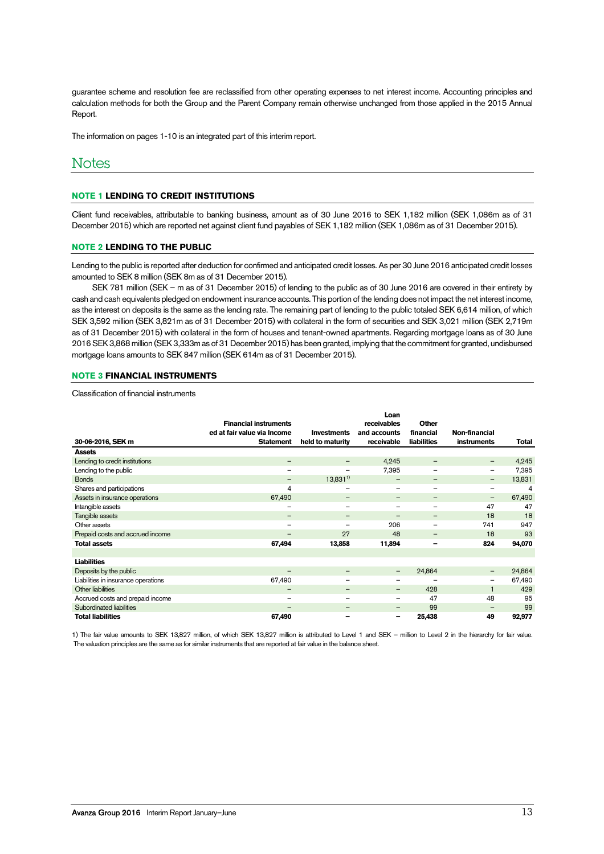guarantee scheme and resolution fee are reclassified from other operating expenses to net interest income. Accounting principles and calculation methods for both the Group and the Parent Company remain otherwise unchanged from those applied in the 2015 Annual Report.

The information on pages 1-10 is an integrated part of this interim report.

### **Notes**

### **NOTE 1 LENDING TO CREDIT INSTITUTIONS**

Client fund receivables, attributable to banking business, amount as of 30 June 2016 to SEK 1,182 million (SEK 1,086m as of 31 December 2015) which are reported net against client fund payables of SEK 1,182 million (SEK 1,086m as of 31 December 2015).

### **NOTE 2 LENDING TO THE PUBLIC**

Lending to the public is reported after deduction for confirmed and anticipated credit losses. As per 30 June 2016 anticipated credit losses amounted to SEK 8 million (SEK 8m as of 31 December 2015).

SEK 781 million (SEK – m as of 31 December 2015) of lending to the public as of 30 June 2016 are covered in their entirety by cash and cash equivalents pledged on endowment insurance accounts. This portion of the lending does not impact the net interest income, as the interest on deposits is the same as the lending rate. The remaining part of lending to the public totaled SEK 6,614 million, of which SEK 3,592 million (SEK 3,821m as of 31 December 2015) with collateral in the form of securities and SEK 3,021 million (SEK 2,719m as of 31 December 2015) with collateral in the form of houses and tenant-owned apartments. Regarding mortgage loans as of 30 June 2016 SEK 3,868 million (SEK 3,333m as of 31 December 2015) has been granted, implying that the commitment for granted, undisbursed mortgage loans amounts to SEK 847 million (SEK 614m as of 31 December 2015).

### **NOTE 3 FINANCIAL INSTRUMENTS**

Classification of financial instruments

| 30-06-2016, SEK m                   | <b>Financial instruments</b><br>ed at fair value via Income<br><b>Statement</b> | <b>Investments</b><br>held to maturity | Loan<br>receivables<br>and accounts<br>receivable | <b>Other</b><br>financial<br>liabilities | Non-financial<br><b>instruments</b> | Total  |
|-------------------------------------|---------------------------------------------------------------------------------|----------------------------------------|---------------------------------------------------|------------------------------------------|-------------------------------------|--------|
| <b>Assets</b>                       |                                                                                 |                                        |                                                   |                                          |                                     |        |
| Lending to credit institutions      | $\qquad \qquad$                                                                 | $\qquad \qquad$                        | 4,245                                             | $\overline{\phantom{0}}$                 | -                                   | 4,245  |
| Lending to the public               | $\overline{\phantom{0}}$                                                        | $\qquad \qquad$                        | 7,395                                             | $\overline{\phantom{0}}$                 | -                                   | 7,395  |
| <b>Bonds</b>                        |                                                                                 | $13,831^{1}$                           | $\overline{\phantom{0}}$                          | -                                        | -                                   | 13,831 |
| Shares and participations           | 4                                                                               | $\qquad \qquad$                        | $\overline{\phantom{0}}$                          | $\overline{\phantom{0}}$                 | -                                   | 4      |
| Assets in insurance operations      | 67,490                                                                          | $\overline{\phantom{m}}$               | -                                                 | -                                        | -                                   | 67,490 |
| Intangible assets                   | $\overline{\phantom{0}}$                                                        | $\overline{\phantom{0}}$               | $\overline{\phantom{0}}$                          | $\overline{\phantom{0}}$                 | 47                                  | 47     |
| Tangible assets                     | $\qquad \qquad$                                                                 | $\overline{\phantom{m}}$               |                                                   | -                                        | 18                                  | 18     |
| Other assets                        |                                                                                 |                                        | 206                                               |                                          | 741                                 | 947    |
| Prepaid costs and accrued income    | -                                                                               | 27                                     | 48                                                | -                                        | 18                                  | 93     |
| <b>Total assets</b>                 | 67,494                                                                          | 13,858                                 | 11,894                                            | -                                        | 824                                 | 94,070 |
|                                     |                                                                                 |                                        |                                                   |                                          |                                     |        |
| <b>Liabilities</b>                  |                                                                                 |                                        |                                                   |                                          |                                     |        |
| Deposits by the public              |                                                                                 | $\overline{\phantom{m}}$               | $\qquad \qquad -$                                 | 24,864                                   | -                                   | 24,864 |
| Liabilities in insurance operations | 67,490                                                                          | $\qquad \qquad$                        |                                                   |                                          |                                     | 67,490 |
| Other liabilities                   | -                                                                               | $\qquad \qquad \blacksquare$           | $\overline{\phantom{m}}$                          | 428                                      |                                     | 429    |
| Accrued costs and prepaid income    | $\overline{\phantom{0}}$                                                        |                                        | $\qquad \qquad$                                   | 47                                       | 48                                  | 95     |
| Subordinated liabilities            | $\overline{\phantom{0}}$                                                        | -                                      |                                                   | 99                                       |                                     | 99     |
| <b>Total liabilities</b>            | 67,490                                                                          |                                        | -                                                 | 25,438                                   | 49                                  | 92,977 |

1) The fair value amounts to SEK 13,827 million, of which SEK 13,827 million is attributed to Level 1 and SEK – million to Level 2 in the hierarchy for fair value. The valuation principles are the same as for similar instruments that are reported at fair value in the balance sheet.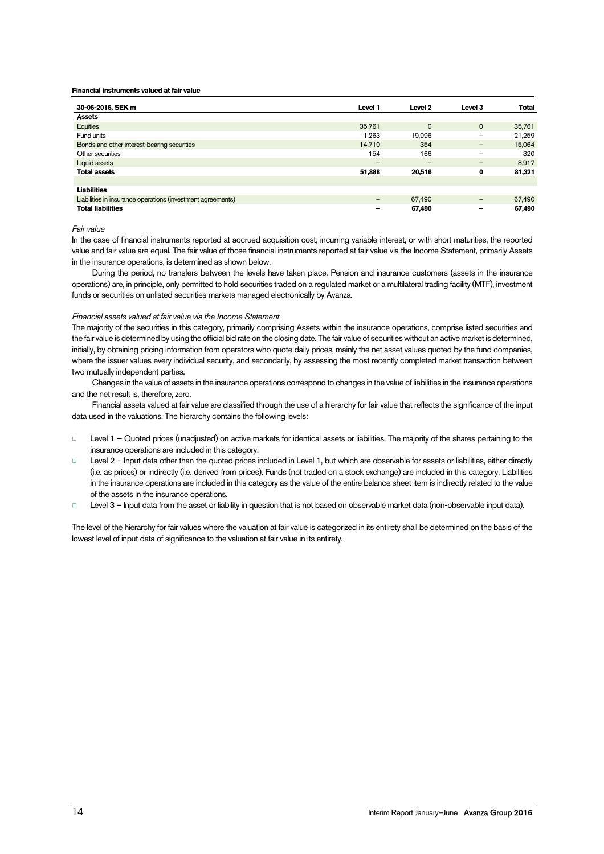#### **Financial instruments valued at fair value**

| 30-06-2016, SEK m                                           | Level 1                  | Level <sub>2</sub>       | Level <sub>3</sub> | <b>Total</b> |
|-------------------------------------------------------------|--------------------------|--------------------------|--------------------|--------------|
| <b>Assets</b>                                               |                          |                          |                    |              |
| Equities                                                    | 35,761                   | $\circ$                  | $\mathbf{0}$       | 35,761       |
| Fund units                                                  | 1.263                    | 19,996                   | -                  | 21,259       |
| Bonds and other interest-bearing securities                 | 14,710                   | 354                      | -                  | 15,064       |
| Other securities                                            | 154                      | 166                      | $\qquad \qquad$    | 320          |
| Liquid assets                                               | $\overline{\phantom{m}}$ | $\overline{\phantom{0}}$ |                    | 8,917        |
| <b>Total assets</b>                                         | 51,888                   | 20,516                   | 0                  | 81,321       |
|                                                             |                          |                          |                    |              |
| <b>Liabilities</b>                                          |                          |                          |                    |              |
| Liabilities in insurance operations (investment agreements) | $\overline{\phantom{m}}$ | 67,490                   | $\qquad \qquad -$  | 67,490       |
| <b>Total liabilities</b>                                    | -                        | 67,490                   |                    | 67,490       |

### Fair value

In the case of financial instruments reported at accrued acquisition cost, incurring variable interest, or with short maturities, the reported value and fair value are equal. The fair value of those financial instruments reported at fair value via the Income Statement, primarily Assets in the insurance operations, is determined as shown below.

During the period, no transfers between the levels have taken place. Pension and insurance customers (assets in the insurance operations) are, in principle, only permitted to hold securities traded on a regulated market or a multilateral trading facility (MTF), investment funds or securities on unlisted securities markets managed electronically by Avanza.

### Financial assets valued at fair value via the Income Statement

The majority of the securities in this category, primarily comprising Assets within the insurance operations, comprise listed securities and the fair value is determined by using the official bid rate on the closing date. The fair value of securities without an active market is determined, initially, by obtaining pricing information from operators who quote daily prices, mainly the net asset values quoted by the fund companies, where the issuer values every individual security, and secondarily, by assessing the most recently completed market transaction between two mutually independent parties.

Changes in the value of assets in the insurance operations correspond to changes in the value of liabilities in the insurance operations and the net result is, therefore, zero.

Financial assets valued at fair value are classified through the use of a hierarchy for fair value that reflects the significance of the input data used in the valuations. The hierarchy contains the following levels:

- □ Level 1 Quoted prices (unadjusted) on active markets for identical assets or liabilities. The majority of the shares pertaining to the insurance operations are included in this category.
- Level 2 Input data other than the quoted prices included in Level 1, but which are observable for assets or liabilities, either directly (i.e. as prices) or indirectly (i.e. derived from prices). Funds (not traded on a stock exchange) are included in this category. Liabilities in the insurance operations are included in this category as the value of the entire balance sheet item is indirectly related to the value of the assets in the insurance operations.
- □ Level 3 Input data from the asset or liability in question that is not based on observable market data (non-observable input data).

The level of the hierarchy for fair values where the valuation at fair value is categorized in its entirety shall be determined on the basis of the lowest level of input data of significance to the valuation at fair value in its entirety.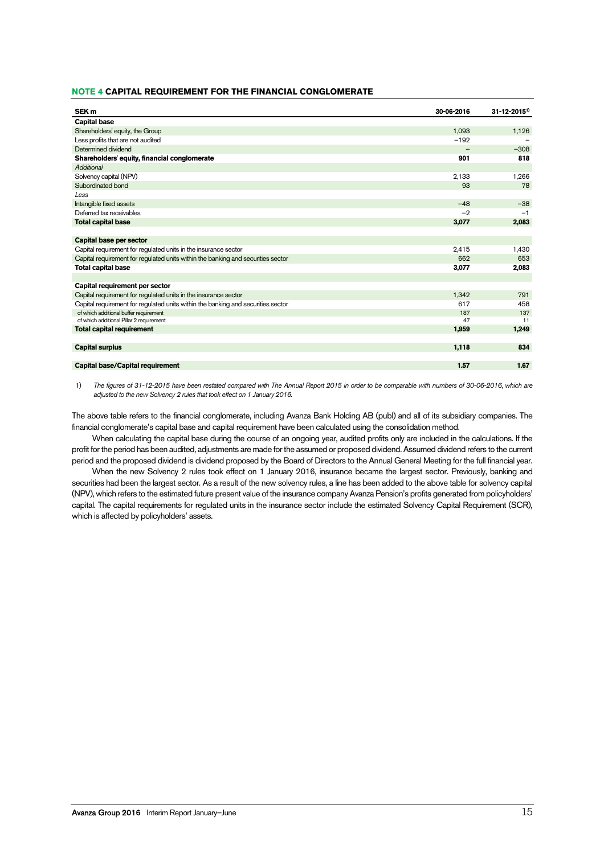### **NOTE 4 CAPITAL REQUIREMENT FOR THE FINANCIAL CONGLOMERATE**

| SEK <sub>m</sub>                                                                 | 30-06-2016 | $31 - 12 - 2015$ <sup>1)</sup> |
|----------------------------------------------------------------------------------|------------|--------------------------------|
| <b>Capital base</b>                                                              |            |                                |
| Shareholders' equity, the Group                                                  | 1,093      | 1,126                          |
| Less profits that are not audited                                                | $-192$     |                                |
| Determined dividend                                                              |            | $-308$                         |
| Shareholders' equity, financial conglomerate                                     | 901        | 818                            |
| Additional                                                                       |            |                                |
| Solvency capital (NPV)                                                           | 2,133      | 1,266                          |
| Subordinated bond                                                                | 93         | 78                             |
| Less                                                                             |            |                                |
| Intangible fixed assets                                                          | $-48$      | $-38$                          |
| Deferred tax receivables                                                         | $-2$       | $-1$                           |
| <b>Total capital base</b>                                                        | 3,077      | 2,083                          |
|                                                                                  |            |                                |
| Capital base per sector                                                          |            |                                |
| Capital requirement for regulated units in the insurance sector                  | 2,415      | 1,430                          |
| Capital requirement for regulated units within the banking and securities sector | 662        | 653                            |
| <b>Total capital base</b>                                                        | 3,077      | 2,083                          |
|                                                                                  |            |                                |
| Capital requirement per sector                                                   |            |                                |
| Capital requirement for requlated units in the insurance sector                  | 1,342      | 791                            |
| Capital requirement for regulated units within the banking and securities sector | 617        | 458                            |
| of which additional buffer requirement                                           | 187        | 137                            |
| of which additional Pillar 2 requirement                                         | 47         | 11                             |
| <b>Total capital requirement</b>                                                 | 1,959      | 1,249                          |
|                                                                                  |            |                                |
| <b>Capital surplus</b>                                                           | 1,118      | 834                            |
|                                                                                  |            |                                |
| <b>Capital base/Capital requirement</b>                                          | 1.57       | 1.67                           |

1) The figures of 31-12-2015 have been restated compared with The Annual Report 2015 in order to be comparable with numbers of 30-06-2016, which are adjusted to the new Solvency 2 rules that took effect on 1 January 2016.

The above table refers to the financial conglomerate, including Avanza Bank Holding AB (publ) and all of its subsidiary companies. The financial conglomerate's capital base and capital requirement have been calculated using the consolidation method.

When calculating the capital base during the course of an ongoing year, audited profits only are included in the calculations. If the profit for the period has been audited, adjustments are made for the assumed or proposed dividend. Assumed dividend refers to the current period and the proposed dividend is dividend proposed by the Board of Directors to the Annual General Meeting for the full financial year.

When the new Solvency 2 rules took effect on 1 January 2016, insurance became the largest sector. Previously, banking and securities had been the largest sector. As a result of the new solvency rules, a line has been added to the above table for solvency capital (NPV), which refers to the estimated future present value of the insurance company Avanza Pension's profits generated from policyholders' capital. The capital requirements for regulated units in the insurance sector include the estimated Solvency Capital Requirement (SCR), which is affected by policyholders' assets.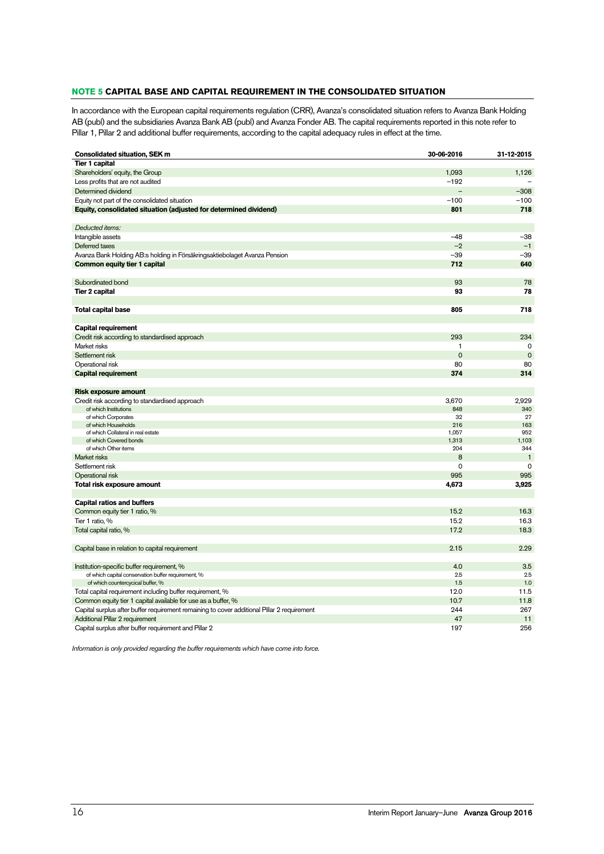### **NOTE 5 CAPITAL BASE AND CAPITAL REQUIREMENT IN THE CONSOLIDATED SITUATION**

In accordance with the European capital requirements regulation (CRR), Avanza's consolidated situation refers to Avanza Bank Holding AB (publ) and the subsidiaries Avanza Bank AB (publ) and Avanza Fonder AB. The capital requirements reported in this note refer to Pillar 1, Pillar 2 and additional buffer requirements, according to the capital adequacy rules in effect at the time.

| <b>Consolidated situation, SEK m</b>                                                        | 30-06-2016  | 31-12-2015   |
|---------------------------------------------------------------------------------------------|-------------|--------------|
| <b>Tier 1 capital</b>                                                                       |             |              |
| Shareholders' equity, the Group                                                             | 1,093       | 1,126        |
| Less profits that are not audited                                                           | $-192$      |              |
| Determined dividend                                                                         |             | $-308$       |
| Equity not part of the consolidated situation                                               | $-100$      | $-100$       |
| Equity, consolidated situation (adjusted for determined dividend)                           | 801         | 718          |
|                                                                                             |             |              |
| Deducted items:                                                                             |             |              |
| Intangible assets                                                                           | $-48$       | $-38$        |
| Deferred taxes                                                                              | $-2$        | $-1$         |
| Avanza Bank Holding AB:s holding in Försäkringsaktiebolaget Avanza Pension                  | $-39$       | $-39$        |
| Common equity tier 1 capital                                                                | 712         | 640          |
|                                                                                             |             |              |
| Subordinated bond                                                                           | 93          | 78           |
|                                                                                             | 93          | 78           |
| <b>Tier 2 capital</b>                                                                       |             |              |
|                                                                                             | 805         | 718          |
| Total capital base                                                                          |             |              |
|                                                                                             |             |              |
| Capital requirement                                                                         |             |              |
| Credit risk according to standardised approach                                              | 293         | 234          |
| Market risks                                                                                | 1           | $\mathbf 0$  |
| Settlement risk                                                                             | $\mathbf 0$ | $\mathbf 0$  |
| Operational risk                                                                            | 80          | 80           |
| <b>Capital requirement</b>                                                                  | 374         | 314          |
|                                                                                             |             |              |
| <b>Risk exposure amount</b>                                                                 |             |              |
| Credit risk according to standardised approach                                              | 3,670       | 2,929        |
| of which Institutions                                                                       | 848         | 340          |
| of which Corporates<br>of which Households                                                  | 32<br>216   | 27<br>163    |
| of which Collateral in real estate                                                          | 1,057       | 952          |
| of which Covered bonds                                                                      | 1,313       | 1,103        |
| of which Other items                                                                        | 204         | 344          |
| Market risks                                                                                | 8           | $\mathbf{1}$ |
| Settlement risk                                                                             | 0           | 0            |
| Operational risk                                                                            | 995         | 995          |
| Total risk exposure amount                                                                  | 4,673       | 3,925        |
|                                                                                             |             |              |
| <b>Capital ratios and buffers</b>                                                           |             |              |
| Common equity tier 1 ratio, %                                                               | 15.2        | 16.3         |
| Tier 1 ratio, %                                                                             | 15.2        | 16.3         |
| Total capital ratio, %                                                                      | 17.2        | 18.3         |
|                                                                                             |             |              |
| Capital base in relation to capital requirement                                             | 2.15        | 2.29         |
|                                                                                             |             |              |
| Institution-specific buffer requirement, %                                                  | 4.0         | 3.5          |
| of which capital conservation buffer requirement, %                                         | 2.5         | 2.5          |
| of which countercycical buffer, %                                                           | 1.5         | 1.0          |
| Total capital requirement including buffer requirement, %                                   | 12.0        | 11.5         |
| Common equity tier 1 capital available for use as a buffer, %                               | 10.7        | 11.8         |
| Capital surplus after buffer requirement remaining to cover additional Pillar 2 requirement | 244         | 267          |
| Additional Pillar 2 requirement                                                             | 47          | 11           |
| Capital surplus after buffer requirement and Pillar 2                                       | 197         | 256          |
|                                                                                             |             |              |

Information is only provided regarding the buffer requirements which have come into force.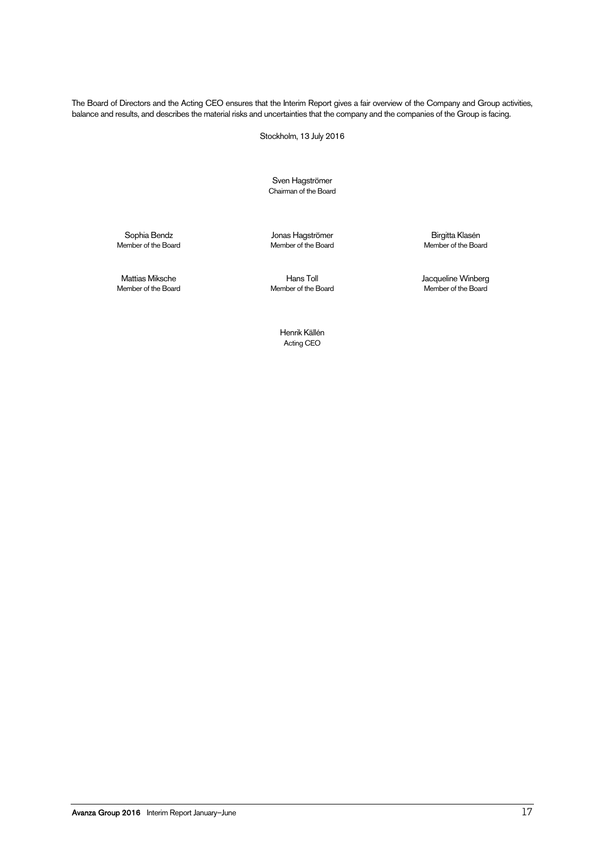The Board of Directors and the Acting CEO ensures that the Interim Report gives a fair overview of the Company and Group activities, balance and results, and describes the material risks and uncertainties that the company and the companies of the Group is facing.

Stockholm, 13 July 2016

Sven Hagströmer Chairman of the Board

Sophia Bendz Jonas Hagströmer Birgitta Klasén Member of the Board

Mattias Miksche Hans Toll Jacqueline Winberg Member of the Board

> Henrik Källén Acting CEO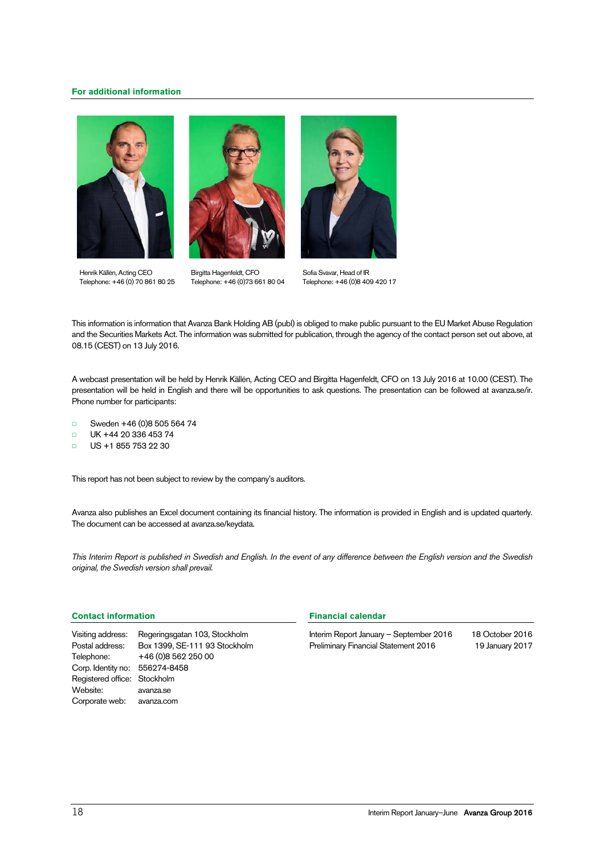### **For additional information**







Henrik Källén, Acting CEO Telephone: +46 (0) 70 861 80 25

Birgitta Hagenfeldt, CFO Telephone: +46 (0)73 661 80 04

Sofia Svavar, Head of IR Telephone: +46 (0)8 409 420 17

This information is information that Avanza Bank Holding AB (publ) is obliged to make public pursuant to the EU Market Abuse Regulation and the Securities Markets Act. The information was submitted for publication, through the agency of the contact person set out above, at 08.15 (CEST) on 13 July 2016.

A webcast presentation will be held by Henrik Källén, Acting CEO and Birgitta Hagenfeldt, CFO on 13 July 2016 at 10.00 (CEST). The presentation will be held in English and there will be opportunities to ask questions. The presentation can be followed at avanza.se/ir. Phone number for participants:

- □ Sweden +46 (0)8 505 564 74
- □ UK +44 20 336 453 74
- □ US +1 855 753 22 30

This report has not been subject to review by the company's auditors.

Avanza also publishes an Excel document containing its financial history. The information is provided in English and is updated quarterly. The document can be accessed at avanza.se/keydata.

This Interim Report is published in Swedish and English. In the event of any difference between the English version and the Swedish original, the Swedish version shall prevail.

### **Contact information**

Visiting address: Regeringsgatan 103, Stockholm Postal address: Box 1399, SE-111 93 Stockholm Telephone: +46 (0)8 562 250 00 Corp. Identity no: 556274-8458 Registered office: Stockholm Website: avanza.se Corporate web: avanza.com

### **Financial calendar**

Interim Report January – September 2016 18 October 2016 Preliminary Financial Statement 2016 19 January 2017